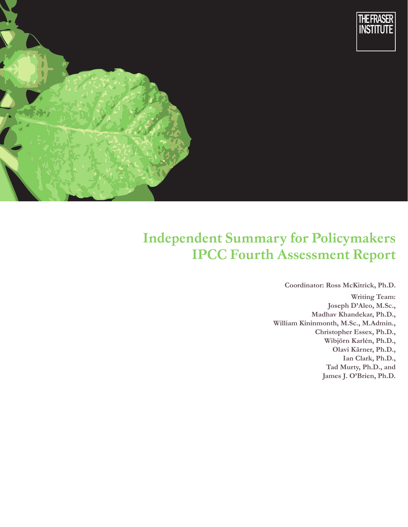



# Independent Summary for Policymakers IPCC Fourth Assessment Report

**Coordinator: Ross McKitrick, Ph.D.** 

**Writing Team: Joseph D'Aleo, M.Sc., Madhav Khandekar, Ph.D., William Kininmonth, M.Sc., M.Admin., Christopher Essex, Ph.D., Wibjörn Karlén, Ph.D., Olavi Kärner, Ph.D., Ian Clark, Ph.D., Tad Murty, Ph.D., and James J. O'Brien, Ph.D.**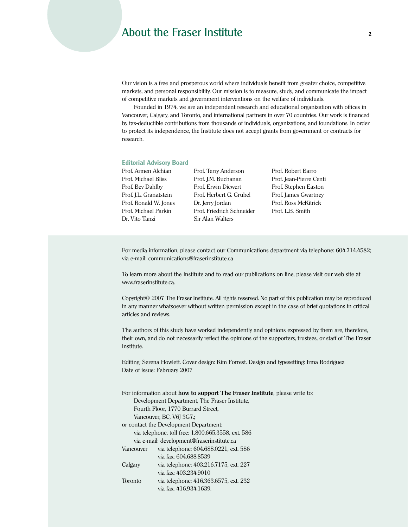### About the Fraser Institute **2**

Our vision is a free and prosperous world where individuals benefit from greater choice, competitive markets, and personal responsibility. Our mission is to measure, study, and communicate the impact of competitive markets and government interventions on the welfare of individuals.

Founded in 1974, we are an independent research and educational organization with offices in Vancouver, Calgary, and Toronto, and international partners in over 70 countries. Our work is financed by tax-deductible contributions from thousands of individuals, organizations, and foundations. In order to protect its independence, the Institute does not accept grants from government or contracts for research.

#### **Editorial Advisory Board**

Dr. Vito Tanzi Sir Alan Walters

Prof. Armen Alchian Prof. Terry Anderson Prof. Robert Barro Prof. Michael Bliss Prof. J.M. Buchanan Prof. Jean-Pierre Centi Prof. Bev Dahlby Prof. Erwin Diewert Prof. Stephen Easton Prof. J.L. Granatstein Prof. Herbert G. Grubel Prof. James Gwartney Prof. Ronald W. Jones Dr. Jerry Jordan Prof. Ross McKitrick Prof. Michael Parkin Prof. Friedrich Schneider Prof. L.B. Smith

For media information, please contact our Communications department via telephone: 604.714.4582; via e-mail: communications@fraserinstitute.ca

To learn more about the Institute and to read our publications on line, please visit our web site at www.fraserinstitute.ca.

Copyright© 2007 The Fraser Institute. All rights reserved. No part of this publication may be reproduced in any manner whatsoever without written permission except in the case of brief quotations in critical articles and reviews.

The authors of this study have worked independently and opinions expressed by them are, therefore, their own, and do not necessarily reflect the opinions of the supporters, trustees, or staff of The Fraser Institute.

Editing: Serena Howlett. Cover design: Kim Forrest. Design and typesetting: Irma Rodriguez Date of issue: February 2007

|           | For information about <b>how to support The Fraser Institute</b> , please write to: |
|-----------|-------------------------------------------------------------------------------------|
|           | Development Department. The Fraser Institute.                                       |
|           | Fourth Floor, 1770 Burrard Street.                                                  |
|           | Vancouver, BC, V6J 3G7.;                                                            |
|           | or contact the Development Department:                                              |
|           | via telephone, toll free: 1.800.665.3558, ext. 586                                  |
|           | via e-mail: development@fraserinstitute.ca                                          |
| Vancouver | via telephone: 604.688.0221, ext. 586                                               |
|           | via fax: 604.688.8539                                                               |
| Calgary   | via telephone: 403.216.7175, ext. 227                                               |
|           | via fax: 403.234.9010                                                               |
| Toronto   | via telephone: 416.363.6575, ext. 232                                               |
|           | via fax: 416.934.1639.                                                              |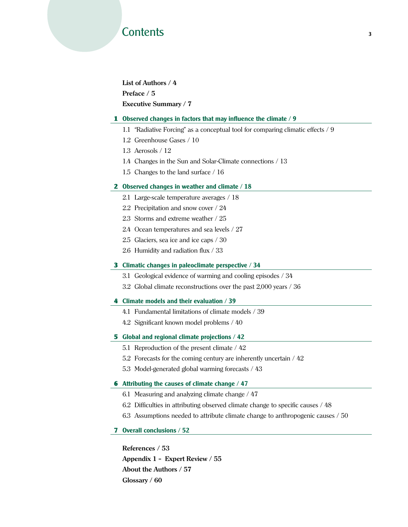### Contents **3**

**List of Authors / 4 Preface / 5 Executive Summary / 7**

#### 1 **Observed changes in factors that may influence the climate / 9**

- 1.1 "Radiative Forcing" as a conceptual tool for comparing climatic effects / 9
- 1.2 Greenhouse Gases / 10
- 1.3 Aerosols / 12
- 1.4 Changes in the Sun and Solar-Climate connections / 13
- 1.5 Changes to the land surface / 16

#### 2 **Observed changes in weather and climate / 18**

- 2.1 Large-scale temperature averages / 18
- 2.2 Precipitation and snow cover / 24
- 2.3 Storms and extreme weather / 25
- 2.4 Ocean temperatures and sea levels / 27
- 2.5 Glaciers, sea ice and ice caps / 30
- 2.6 Humidity and radiation flux / 33

#### 3 **Climatic changes in paleoclimate perspective / 34**

- 3.1 Geological evidence of warming and cooling episodes / 34
- 3.2 Global climate reconstructions over the past 2,000 years / 36

#### 4 **Climate models and their evaluation / 39**

- 4.1 Fundamental limitations of climate models / 39
- 4.2 Significant known model problems / 40

#### 5 **Global and regional climate projections / 42**

- 5.1 Reproduction of the present climate / 42
- 5.2 Forecasts for the coming century are inherently uncertain / 42
- 5.3 Model-generated global warming forecasts / 43

#### 6 **Attributing the causes of climate change / 47**

- 6.1 Measuring and analyzing climate change / 47
- 6.2 Difficulties in attributing observed climate change to specific causes / 48
- 6.3 Assumptions needed to attribute climate change to anthropogenic causes / 50

#### 7 **Overall conclusions / 52**

**References / 53** Appendix 1 - Expert Review / 55 **About the Authors / 57 Glossary / 60**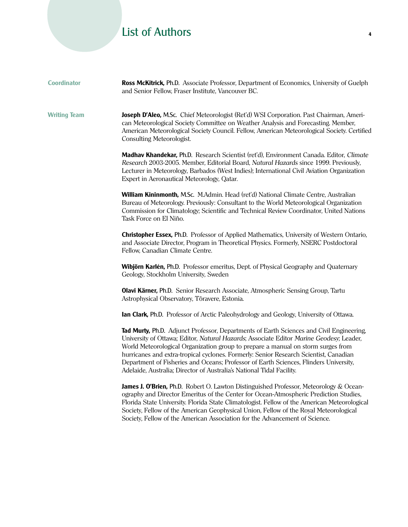# List of Authors **4**

| <b>Coordinator</b>  | Ross McKitrick, Ph.D. Associate Professor, Department of Economics, University of Guelph<br>and Senior Fellow, Fraser Institute, Vancouver BC.                                                                                                                                                                                                                                                                                                                                                                                     |
|---------------------|------------------------------------------------------------------------------------------------------------------------------------------------------------------------------------------------------------------------------------------------------------------------------------------------------------------------------------------------------------------------------------------------------------------------------------------------------------------------------------------------------------------------------------|
| <b>Writing Team</b> | Joseph D'Aleo, M.Sc. Chief Meteorologist (Ret'd) WSI Corporation. Past Chairman, Ameri-<br>can Meteorological Society Committee on Weather Analysis and Forecasting. Member,<br>American Meteorological Society Council. Fellow, American Meteorological Society. Certified<br>Consulting Meteorologist.                                                                                                                                                                                                                           |
|                     | Madhav Khandekar, Ph.D. Research Scientist (ret'd), Environment Canada. Editor, Climate<br>Research 2003-2005. Member, Editorial Board, Natural Hazards since 1999. Previously,<br>Lecturer in Meteorology, Barbados (West Indies); International Civil Aviation Organization<br>Expert in Aeronautical Meteorology, Qatar.                                                                                                                                                                                                        |
|                     | William Kininmonth, M.Sc. M.Admin. Head (ret'd) National Climate Centre, Australian<br>Bureau of Meteorology. Previously: Consultant to the World Meteorological Organization<br>Commission for Climatology; Scientific and Technical Review Coordinator, United Nations<br>Task Force on El Niño.                                                                                                                                                                                                                                 |
|                     | Christopher Essex, Ph.D. Professor of Applied Mathematics, University of Western Ontario,<br>and Associate Director, Program in Theoretical Physics. Formerly, NSERC Postdoctoral<br>Fellow, Canadian Climate Centre.                                                                                                                                                                                                                                                                                                              |
|                     | Wibjörn Karlén, Ph.D. Professor emeritus, Dept. of Physical Geography and Quaternary<br>Geology, Stockholm University, Sweden                                                                                                                                                                                                                                                                                                                                                                                                      |
|                     | <b>Olavi Kärner, Ph.D.</b> Senior Research Associate, Atmospheric Sensing Group, Tartu<br>Astrophysical Observatory, Tõravere, Estonia.                                                                                                                                                                                                                                                                                                                                                                                            |
|                     | <b>lan Clark, Ph.D.</b> Professor of Arctic Paleohydrology and Geology, University of Ottawa.                                                                                                                                                                                                                                                                                                                                                                                                                                      |
|                     | Tad Murty, Ph.D. Adjunct Professor, Departments of Earth Sciences and Civil Engineering,<br>University of Ottawa; Editor, Natural Hazards; Associate Editor Marine Geodesy; Leader,<br>World Meteorological Organization group to prepare a manual on storm surges from<br>hurricanes and extra-tropical cyclones. Formerly: Senior Research Scientist, Canadian<br>Department of Fisheries and Oceans; Professor of Earth Sciences, Flinders University,<br>Adelaide, Australia; Director of Australia's National Tidal Facility. |
|                     | <b>James J. O'Brien, Ph.D.</b> Robert O. Lawton Distinguished Professor, Meteorology & Ocean-<br>ography and Director Emeritus of the Center for Ocean-Atmospheric Prediction Studies,<br>Florida State University. Florida State Climatologist. Fellow of the American Meteorological<br>Society, Fellow of the American Geophysical Union, Fellow of the Royal Meteorological<br>Society, Fellow of the American Association for the Advancement of Science.                                                                     |
|                     |                                                                                                                                                                                                                                                                                                                                                                                                                                                                                                                                    |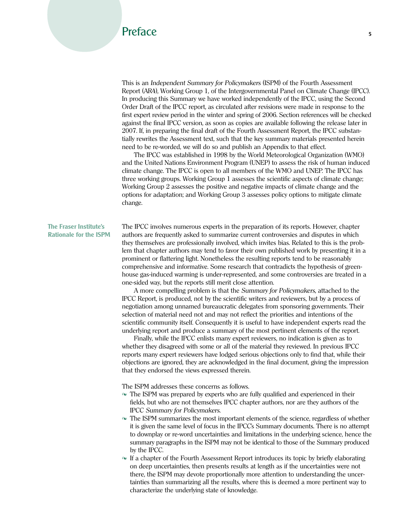This is an *Independent Summary for Policymakers* (ISPM) of the Fourth Assessment Report (AR4), Working Group 1, of the Intergovernmental Panel on Climate Change (IPCC). In producing this Summary we have worked independently of the IPCC, using the Second Order Draft of the IPCC report, as circulated after revisions were made in response to the first expert review period in the winter and spring of 2006. Section references will be checked against the final IPCC version, as soon as copies are available following the release later in 2007. If, in preparing the final draft of the Fourth Assessment Report, the IPCC substantially rewrites the Assessment text, such that the key summary materials presented herein need to be re-worded, we will do so and publish an Appendix to that effect.

The IPCC was established in 1998 by the World Meteorological Organization (WMO) and the United Nations Environment Program (UNEP) to assess the risk of human induced climate change. The IPCC is open to all members of the WMO and UNEP. The IPCC has three working groups. Working Group 1 assesses the scientific aspects of climate change; Working Group 2 assesses the positive and negative impacts of climate change and the options for adaptation; and Working Group 3 assesses policy options to mitigate climate change.

**The Fraser Instituteís Rationale for the ISPM** The IPCC involves numerous experts in the preparation of its reports. However, chapter authors are frequently asked to summarize current controversies and disputes in which they themselves are professionally involved, which invites bias. Related to this is the problem that chapter authors may tend to favor their own published work by presenting it in a prominent or flattering light. Nonetheless the resulting reports tend to be reasonably comprehensive and informative. Some research that contradicts the hypothesis of greenhouse gas-induced warming is under-represented, and some controversies are treated in a one-sided way, but the reports still merit close attention.

A more compelling problem is that the *Summary for Policymakers*, attached to the IPCC Report, is produced, not by the scientific writers and reviewers, but by a process of negotiation among unnamed bureaucratic delegates from sponsoring governments. Their selection of material need not and may not reflect the priorities and intentions of the scientific community itself. Consequently it is useful to have independent experts read the underlying report and produce a summary of the most pertinent elements of the report.

Finally, while the IPCC enlists many expert reviewers, no indication is given as to whether they disagreed with some or all of the material they reviewed. In previous IPCC reports many expert reviewers have lodged serious objections only to find that, while their objections are ignored, they are acknowledged in the final document, giving the impression that they endorsed the views expressed therein.

The ISPM addresses these concerns as follows.

- The ISPM was prepared by experts who are fully qualified and experienced in their fields, but who are not themselves IPCC chapter authors, nor are they authors of the IPCC *Summary for Policymakers*.
- $\sim$  The ISPM summarizes the most important elements of the science, regardless of whether it is given the same level of focus in the IPCCís Summary documents. There is no attempt to downplay or re-word uncertainties and limitations in the underlying science, hence the summary paragraphs in the ISPM may not be identical to those of the Summary produced by the IPCC.
- $\sim$  If a chapter of the Fourth Assessment Report introduces its topic by briefly elaborating on deep uncertainties, then presents results at length as if the uncertainties were not there, the ISPM may devote proportionally more attention to understanding the uncertainties than summarizing all the results, where this is deemed a more pertinent way to characterize the underlying state of knowledge.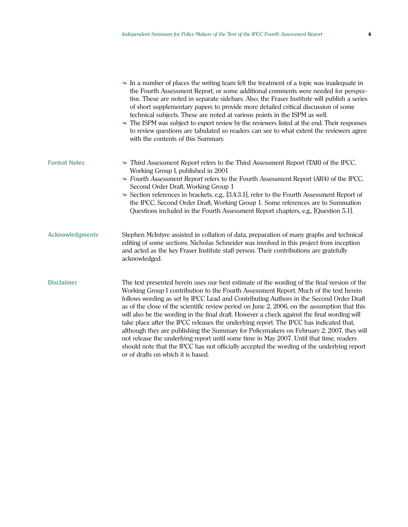|                        | $\sim$ In a number of places the writing team felt the treatment of a topic was inadequate in<br>the Fourth Assessment Report, or some additional comments were needed for perspec-<br>tive. These are noted in separate sidebars. Also, the Fraser Institute will publish a series<br>of short supplementary papers to provide more detailed critical discussion of some<br>technical subjects. These are noted at various points in the ISPM as well.<br>$\sim$ The ISPM was subject to expert review by the reviewers listed at the end. Their responses<br>to review questions are tabulated so readers can see to what extent the reviewers agree<br>with the contents of this Summary.                                                                                                                                                                                                       |
|------------------------|----------------------------------------------------------------------------------------------------------------------------------------------------------------------------------------------------------------------------------------------------------------------------------------------------------------------------------------------------------------------------------------------------------------------------------------------------------------------------------------------------------------------------------------------------------------------------------------------------------------------------------------------------------------------------------------------------------------------------------------------------------------------------------------------------------------------------------------------------------------------------------------------------|
| <b>Format Notes</b>    | Third Assessment Report refers to the Third Assessment Report (TAR) of the IPCC,<br>Working Group I, published in 2001<br>$\sim$ Fourth Assessment Report refers to the Fourth Assessment Report (AR4) of the IPCC,                                                                                                                                                                                                                                                                                                                                                                                                                                                                                                                                                                                                                                                                                |
|                        | Second Order Draft, Working Group 1<br>$\sim$ Section references in brackets, e.g., [3.4.3.1], refer to the Fourth Assessment Report of<br>the IPCC, Second Order Draft, Working Group 1. Some references are to Summation<br>Questions included in the Fourth Assessment Report chapters, e.g., [Question 5.1].                                                                                                                                                                                                                                                                                                                                                                                                                                                                                                                                                                                   |
| <b>Acknowledgments</b> | Stephen McIntyre assisted in collation of data, preparation of many graphs and technical<br>editing of some sections. Nicholas Schneider was involved in this project from inception<br>and acted as the key Fraser Institute staff person. Their contributions are gratefully<br>acknowledged.                                                                                                                                                                                                                                                                                                                                                                                                                                                                                                                                                                                                    |
| <b>Disclaimer</b>      | The text presented herein uses our best estimate of the wording of the final version of the<br>Working Group I contribution to the Fourth Assessment Report. Much of the text herein<br>follows wording as set by IPCC Lead and Contributing Authors in the Second Order Draft<br>as of the close of the scientific review period on June 2, 2006, on the assumption that this<br>will also be the wording in the final draft. However a check against the final wording will<br>take place after the IPCC releases the underlying report. The IPCC has indicated that,<br>although they are publishing the Summary for Policymakers on February 2, 2007, they will<br>not release the underlying report until some time in May 2007. Until that time, readers<br>should note that the IPCC has not officially accepted the wording of the underlying report<br>or of drafts on which it is based. |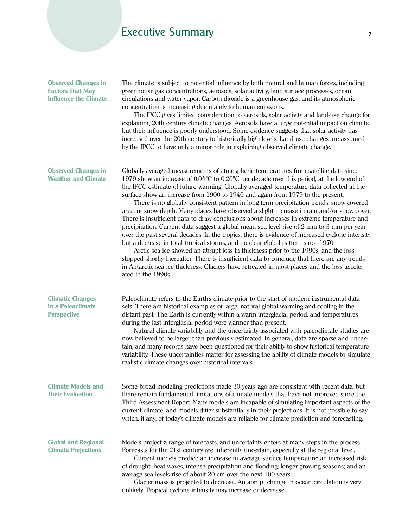### Executive Summary **7**

#### **Observed Changes in Factors That May Influence the Climate** The climate is subject to potential influence by both natural and human forces, including greenhouse gas concentrations, aerosols, solar activity, land surface processes, ocean circulations and water vapor. Carbon dioxide is a greenhouse gas, and its atmospheric concentration is increasing due mainly to human emissions. The IPCC gives limited consideration to aerosols, solar activity and land-use change for explaining 20th century climate changes. Aerosols have a large potential impact on climate but their influence is poorly understood. Some evidence suggests that solar activity has increased over the 20th century to historically high levels. Land use changes are assumed by the IPCC to have only a minor role in explaining observed climate change. **Observed Changes in Weather and Climate** Globally-averaged measurements of atmospheric temperatures from satellite data since 1979 show an increase of 0.04°C to 0.20°C per decade over this period, at the low end of the IPCC estimate of future warming. Globally-averaged temperature data collected at the surface show an increase from 1900 to 1940 and again from 1979 to the present. There is no globally-consistent pattern in long-term precipitation trends, snow-covered area, or snow depth. Many places have observed a slight increase in rain and/or snow cover. There is insufficient data to draw conclusions about increases in extreme temperature and precipitation. Current data suggest a global mean sea-level rise of 2 mm to 3 mm per year over the past several decades. In the tropics, there is evidence of increased cyclone intensity but a decrease in total tropical storms, and no clear global pattern since 1970. Arctic sea ice showed an abrupt loss in thickness prior to the 1990s, and the loss stopped shortly thereafter. There is insufficient data to conclude that there are any trends in Antarctic sea ice thickness. Glaciers have retreated in most places and the loss accelerated in the 1990s. **Climatic Changes in a Paleoclimate Perspective** Paleoclimate refers to the Earth's climate prior to the start of modern instrumental data sets. There are historical examples of large, natural global warming and cooling in the distant past. The Earth is currently within a warm interglacial period, and temperatures during the last interglacial period were warmer than present. Natural climate variability and the uncertainty associated with paleoclimate studies are now believed to be larger than previously estimated. In general, data are sparse and uncertain, and many records have been questioned for their ability to show historical temperature variability. These uncertainties matter for assessing the ability of climate models to simulate realistic climate changes over historical intervals. **Climate Models and Their Evaluation** Some broad modeling predictions made 30 years ago are consistent with recent data, but there remain fundamental limitations of climate models that have not improved since the Third Assessment Report. Many models are incapable of simulating important aspects of the current climate, and models differ substantially in their projections. It is not possible to say which, if any, of today's climate models are reliable for climate prediction and forecasting. **Global and Regional Climate Projections** Models project a range of forecasts, and uncertainty enters at many steps in the process. Forecasts for the 21st century are inherently uncertain, especially at the regional level. Current models predict: an increase in average surface temperature; an increased risk of drought, heat waves, intense precipitation and flooding; longer growing seasons; and an average sea levels rise of about 20 cm over the next 100 years. Glacier mass is projected to decrease. An abrupt change in ocean circulation is very unlikely. Tropical cyclone intensity may increase or decrease.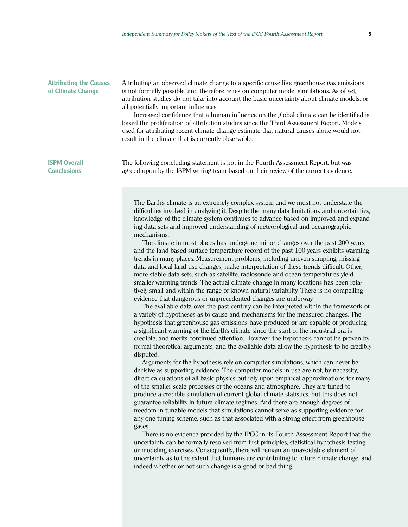#### **Attributing the Causes of Climate Change**

**ISPM Overall Conclusions**

Attributing an observed climate change to a specific cause like greenhouse gas emissions is not formally possible, and therefore relies on computer model simulations. As of yet, attribution studies do not take into account the basic uncertainty about climate models, or all potentially important influences.

Increased confidence that a human influence on the global climate can be identified is based the proliferation of attribution studies since the Third Assessment Report. Models used for attributing recent climate change estimate that natural causes alone would not result in the climate that is currently observable.

The following concluding statement is not in the Fourth Assessment Report, but was agreed upon by the ISPM writing team based on their review of the current evidence.

The Earthís climate is an extremely complex system and we must not understate the difficulties involved in analyzing it. Despite the many data limitations and uncertainties, knowledge of the climate system continues to advance based on improved and expanding data sets and improved understanding of meteorological and oceanographic mechanisms.

The climate in most places has undergone minor changes over the past 200 years, and the land-based surface temperature record of the past 100 years exhibits warming trends in many places. Measurement problems, including uneven sampling, missing data and local land-use changes, make interpretation of these trends difficult. Other, more stable data sets, such as satellite, radiosonde and ocean temperatures yield smaller warming trends. The actual climate change in many locations has been relatively small and within the range of known natural variability. There is no compelling evidence that dangerous or unprecedented changes are underway.

The available data over the past century can be interpreted within the framework of a variety of hypotheses as to cause and mechanisms for the measured changes. The hypothesis that greenhouse gas emissions have produced or are capable of producing a significant warming of the Earthís climate since the start of the industrial era is credible, and merits continued attention. However, the hypothesis cannot be proven by formal theoretical arguments, and the available data allow the hypothesis to be credibly disputed.

Arguments for the hypothesis rely on computer simulations, which can never be decisive as supporting evidence. The computer models in use are not, by necessity, direct calculations of all basic physics but rely upon empirical approximations for many of the smaller scale processes of the oceans and atmosphere. They are tuned to produce a credible simulation of current global climate statistics, but this does not guarantee reliability in future climate regimes. And there are enough degrees of freedom in tunable models that simulations cannot serve as supporting evidence for any one tuning scheme, such as that associated with a strong effect from greenhouse gases.

There is no evidence provided by the IPCC in its Fourth Assessment Report that the uncertainty can be formally resolved from first principles, statistical hypothesis testing or modeling exercises. Consequently, there will remain an unavoidable element of uncertainty as to the extent that humans are contributing to future climate change, and indeed whether or not such change is a good or bad thing.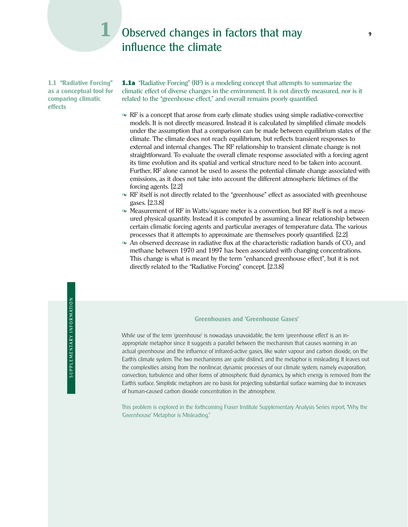# **1** Observed changes in factors that may influence the climate

**1.1 "Radiative Forcing" as a conceptual tool for comparing climatic effects**

**1.1a** "Radiative Forcing" (RF) is a modeling concept that attempts to summarize the climatic effect of diverse changes in the environment. It is not directly measured, nor is it related to the "greenhouse effect," and overall remains poorly quantified.

- RF is a concept that arose from early climate studies using simple radiative-convective models. It is not directly measured. Instead it is calculated by simplified climate models under the assumption that a comparison can be made between equilibrium states of the climate. The climate does not reach equilibrium, but reflects transient responses to external and internal changes. The RF relationship to transient climate change is not straightforward. To evaluate the overall climate response associated with a forcing agent its time evolution and its spatial and vertical structure need to be taken into account. Further, RF alone cannot be used to assess the potential climate change associated with emissions, as it does not take into account the different atmospheric lifetimes of the forcing agents. [2.2]
- $\sim$  RF itself is not directly related to the "greenhouse" effect as associated with greenhouse gases. [2.3.8]
- $\sim$  Measurement of RF in Watts/square meter is a convention, but RF itself is not a measured physical quantity. Instead it is computed by assuming a linear relationship between certain climatic forcing agents and particular averages of temperature data. The various processes that it attempts to approximate are themselves poorly quantified. [2.2]
- $\sim$  An observed decrease in radiative flux at the characteristic radiation bands of CO<sub>2</sub> and methane between 1970 and 1997 has been associated with changing concentrations. This change is what is meant by the term "enhanced greenhouse effect", but it is not directly related to the "Radiative Forcing" concept. [2.3.8]

#### **Greenhouses and 'Greenhouse Gases'**

While use of the term 'greenhouse' is nowadays unavoidable, the term 'greenhouse effect' is an inappropriate metaphor since it suggests a parallel between the mechanism that causes warming in an actual greenhouse and the influence of infrared-active gases, like water vapour and carbon dioxide, on the Earthís climate system. The two mechanisms are quite distinct, and the metaphor is misleading. It leaves out the complexities arising from the nonlinear, dynamic processes of our climate system, namely evaporation, convection, turbulence and other forms of atmospheric fluid dynamics, by which energy is removed from the Earthís surface. Simplistic metaphors are no basis for projecting substantial surface warming due to increases of human-caused carbon dioxide concentration in the atmosphere.

This problem is explored in the forthcoming Fraser Institute Supplementary Analysis Series report, "Why the 'Greenhouse' Metaphor is Misleading."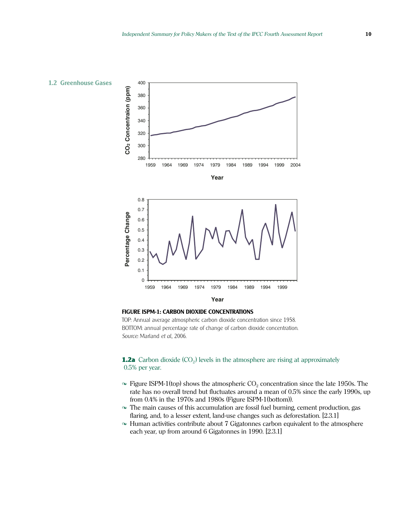

**FIGURE ISPM-1: CARBON DIOXIDE CONCENTRATIONS**

TOP: Annual average atmospheric carbon dioxide concentration since 1958. BOTTOM: annual percentage rate of change of carbon dioxide concentration. *Source:* Marland *et al*., 2006.

**1.2a** Carbon dioxide  $(CO_2)$  levels in the atmosphere are rising at approximately 0.5% per year.

- $\sim$  Figure ISPM-1(top) shows the atmospheric CO<sub>2</sub> concentration since the late 1950s. The rate has no overall trend but fluctuates around a mean of 0.5% since the early 1990s, up from 0.4% in the 1970s and 1980s (Figure ISPM-1(bottom)).
- $\sim$  The main causes of this accumulation are fossil fuel burning, cement production, gas flaring, and, to a lesser extent, land-use changes such as deforestation. [2.3.1]
- Human activities contribute about 7 Gigatonnes carbon equivalent to the atmosphere each year, up from around 6 Gigatonnes in 1990. [2.3.1]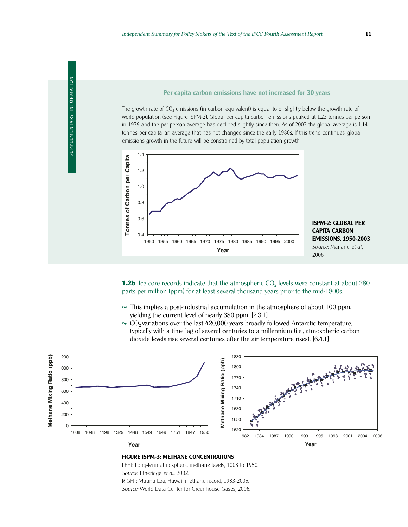#### **Per capita carbon emissions have not increased for 30 years**

The growth rate of  $CO<sub>2</sub>$  emissions (in carbon equivalent) is equal to or slightly below the growth rate of world population (see Figure ISPM-2). Global per capita carbon emissions peaked at 1.23 tonnes per person in 1979 and the per-person average has declined slightly since then. As of 2003 the global average is 1.14 tonnes per capita, an average that has not changed since the early 1980s. If this trend continues, global emissions growth in the future will be constrained by total population growth.



**ISPM-2: GLOBAL PER CAPITA CARBON EMISSIONS, 1950-2003** *Source:* Marland *et al.*, 2006.

**1.2b** Ice core records indicate that the atmospheric  $CO<sub>2</sub>$  levels were constant at about 280 parts per million (ppm) for at least several thousand years prior to the mid-1800s.

- This implies a post-industrial accumulation in the atmosphere of about 100 ppm, yielding the current level of nearly 380 ppm. [2.3.1]
- $\sim CO_2$  variations over the last 420,000 years broadly followed Antarctic temperature, typically with a time lag of several centuries to a millennium (i.e., atmospheric carbon dioxide levels rise several centuries after the air temperature rises). [6.4.1]



#### **FIGURE ISPM-3: METHANE CONCENTRATIONS**

LEFT: Long-term atmospheric methane levels, 1008 to 1950. *Source:* Etheridge *et al*., 2002. RIGHT: Mauna Loa, Hawaii methane record, 1983-2005. *Source:* World Data Center for Greenhouse Gases, 2006.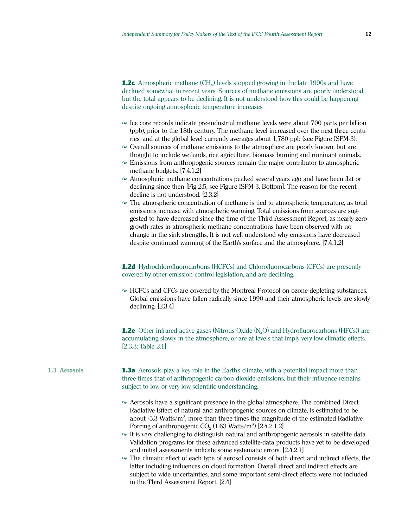**1.2c** Atmospheric methane  $\text{CH}_4$ ) levels stopped growing in the late 1990s and have declined somewhat in recent years. Sources of methane emissions are poorly understood, but the total appears to be declining. It is not understood how this could be happening despite ongoing atmospheric temperature increases.

- $\sim$  Ice core records indicate pre-industrial methane levels were about 700 parts per billion (ppb), prior to the 18th century. The methane level increased over the next three centuries, and at the global level currently averages about 1,780 ppb (see Figure ISPM-3).
- Overall sources of methane emissions to the atmosphere are poorly known, but are thought to include wetlands, rice agriculture, biomass burning and ruminant animals.
- Emissions from anthropogenic sources remain the major contributor to atmospheric methane budgets. [7.4.1.2]
- Atmospheric methane concentrations peaked several years ago and have been flat or declining since then [Fig 2.5, see Figure ISPM-3, Bottom]. The reason for the recent decline is not understood. [2.3.2]
- The atmospheric concentration of methane is tied to atmospheric temperature, as total emissions increase with atmospheric warming. Total emissions from sources are suggested to have decreased since the time of the Third Assessment Report, as nearly zero growth rates in atmospheric methane concentrations have been observed with no change in the sink strengths. It is not well understood why emissions have decreased despite continued warming of the Earth's surface and the atmosphere. [7.4.1.2]

**1.2d** Hydrochlorofluorocarbons (HCFCs) and Chlorofluorocarbons (CFCs) are presently covered by other emission control legislation, and are declining.

 HCFCs and CFCs are covered by the Montreal Protocol on ozone-depleting substances. Global emissions have fallen radically since 1990 and their atmospheric levels are slowly declining. [2.3.4]

**1.2e** Other infrared active gases (Nitrous Oxide  $(N_2O)$  and Hydrofluorocarbons (HFCs)) are accumulating slowly in the atmosphere, or are at levels that imply very low climatic effects. [2.3.3; Table 2.1]

**1.3 Aerosols** 1.3**a** Aerosols play a key role in the Earth's climate, with a potential impact more than three times that of anthropogenic carbon dioxide emissions, but their influence remains subject to low or very low scientific understanding.

- Aerosols have a significant presence in the global atmosphere. The combined Direct Radiative Effect of natural and anthropogenic sources on climate, is estimated to be about -5.3 Watts/m<sup>2</sup>, more than three times the magnitude of the estimated Radiative Forcing of anthropogenic  $CO<sub>2</sub> (1.63 Watts/m<sup>2</sup>)$  [2.4.2.1.2]
- $\sim$  It is very challenging to distinguish natural and anthropogenic aerosols in satellite data. Validation programs for these advanced satellite-data products have yet to be developed and initial assessments indicate some systematic errors. [2.4.2.1]
- $\sim$  The climatic effect of each type of aerosol consists of both direct and indirect effects, the latter including influences on cloud formation. Overall direct and indirect effects are subject to wide uncertainties, and some important semi-direct effects were not included in the Third Assessment Report. [2.4]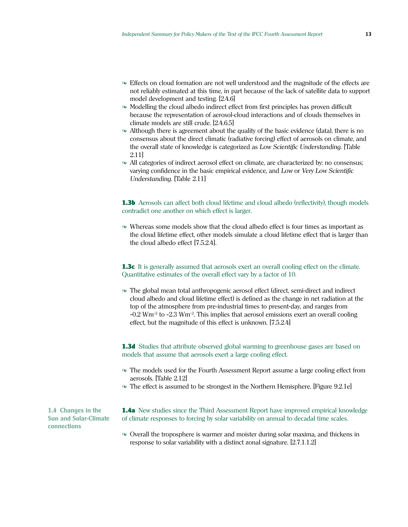- Effects on cloud formation are not well understood and the magnitude of the effects are not reliably estimated at this time, in part because of the lack of satellite data to support model development and testing. [2.4.6]
- $\sim$  Modelling the cloud albedo indirect effect from first principles has proven difficult because the representation of aerosol-cloud interactions and of clouds themselves in climate models are still crude. [2.4.6.5]
- Although there is agreement about the quality of the basic evidence (data), there is no consensus about the direct climatic (radiative forcing) effect of aerosols on climate, and the overall state of knowledge is categorized as *Low Scientific Understanding*. [Table 2.11]
- All categories of indirect aerosol effect on climate, are characterized by: no consensus; varying confidence in the basic empirical evidence, and *Low* or *Very Low Scientific Understanding*. [Table 2.11]

**1.3b** Aerosols can affect both cloud lifetime and cloud albedo (reflectivity), though models contradict one another on which effect is larger.

 Whereas some models show that the cloud albedo effect is four times as important as the cloud lifetime effect, other models simulate a cloud lifetime effect that is larger than the cloud albedo effect [7.5.2.4].

**1.3c** It is generally assumed that aerosols exert an overall cooling effect on the climate. Quantitative estimates of the overall effect vary by a factor of 10.

 The global mean total anthropogenic aerosol effect (direct, semi-direct and indirect cloud albedo and cloud lifetime effect) is defined as the change in net radiation at the top of the atmosphere from pre-industrial times to present-day, and ranges from  $-0.2$  Wm<sup>-2</sup> to  $-2.3$  Wm<sup>-2</sup>. This implies that aerosol emissions exert an overall cooling effect, but the magnitude of this effect is unknown. [7.5.2.4]

**1.3d** Studies that attribute observed global warming to greenhouse gases are based on models that assume that aerosols exert a large cooling effect.

- The models used for the Fourth Assessment Report assume a large cooling effect from aerosols. [Table 2.12]
- The effect is assumed to be strongest in the Northern Hemisphere. [Figure 9.2.1e]

**1.4 Changes in the Sun and Solar-Climate connections**

**1.4a** New studies since the Third Assessment Report have improved empirical knowledge of climate responses to forcing by solar variability on annual to decadal time scales.

 $\sim$  Overall the troposphere is warmer and moister during solar maxima, and thickens in response to solar variability with a distinct zonal signature. [2.7.1.1.2]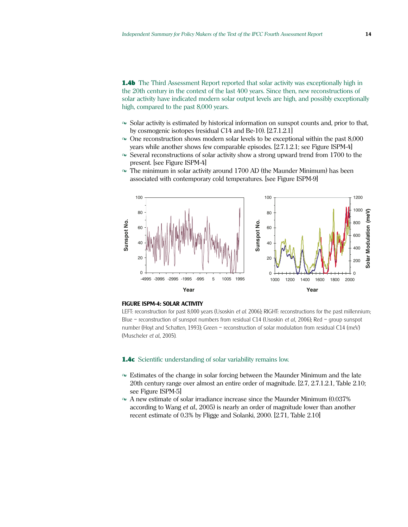**1.4b** The Third Assessment Report reported that solar activity was exceptionally high in the 20th century in the context of the last 400 years. Since then, new reconstructions of solar activity have indicated modern solar output levels are high, and possibly exceptionally high, compared to the past 8,000 years.

- $\sim$  Solar activity is estimated by historical information on sunspot counts and, prior to that, by cosmogenic isotopes (residual C14 and Be-10). [2.7.1.2.1]
- One reconstruction shows modern solar levels to be exceptional within the past 8,000 years while another shows few comparable episodes. [2.7.1.2.1; see Figure ISPM-4]
- $\sim$  Several reconstructions of solar activity show a strong upward trend from 1700 to the present. [see Figure ISPM-4]
- The minimum in solar activity around 1700 AD (the Maunder Minimum) has been associated with contemporary cold temperatures. [see Figure ISPM-9]



#### **FIGURE ISPM-4: SOLAR ACTIVITY**

LEFT: reconstruction for past 8,000 years (Usoskin *et al.* 2006); RIGHT: reconstructions for the past millennium; Blue – reconstruction of sunspot numbers from residual C14 (Usoskin *et al.*, 2006); Red – group sunspot number (Hoyt and Schatten, 1993); Green - reconstruction of solar modulation from residual C14 (meV) (Muscheler *et al.*, 2005).

#### **1.4c** Scientific understanding of solar variability remains low.

- Estimates of the change in solar forcing between the Maunder Minimum and the late 20th century range over almost an entire order of magnitude. [2.7, 2.7.1.2.1, Table 2.10; see Figure ISPM-5]
- A new estimate of solar irradiance increase since the Maunder Minimum (0.037% according to Wang *et al.*, 2005) is nearly an order of magnitude lower than another recent estimate of 0.3% by Fligge and Solanki, 2000. [2.71, Table 2.10]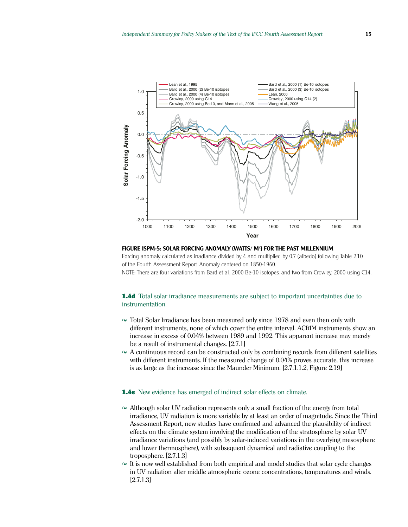

#### **FIGURE ISPM-5: SOLAR FORCING ANOMALY (WATTS/ M2 ) FOR THE PAST MILLENNIUM**

Forcing anomaly calculated as irradiance divided by 4 and multiplied by 0.7 (albedo) following Table 2.10 of the Fourth Assessment Report. Anomaly centered on 1850-1960.

NOTE: There are four variations from Bard et al., 2000 Be-10 isotopes, and two from Crowley, 2000 using C14.

#### **1.4d** Total solar irradiance measurements are subject to important uncertainties due to instrumentation.

- $\sim$  Total Solar Irradiance has been measured only since 1978 and even then only with different instruments, none of which cover the entire interval. ACRIM instruments show an increase in excess of 0.04% between 1989 and 1992. This apparent increase may merely be a result of instrumental changes. [2.7.1]
- $\sim$  A continuous record can be constructed only by combining records from different satellites with different instruments. If the measured change of 0.04% proves accurate, this increase is as large as the increase since the Maunder Minimum. [2.7.1.1.2, Figure 2.19]

#### 1.4e New evidence has emerged of indirect solar effects on climate.

- Although solar UV radiation represents only a small fraction of the energy from total irradiance, UV radiation is more variable by at least an order of magnitude. Since the Third Assessment Report, new studies have confirmed and advanced the plausibility of indirect effects on the climate system involving the modification of the stratosphere by solar UV irradiance variations (and possibly by solar-induced variations in the overlying mesosphere and lower thermosphere), with subsequent dynamical and radiative coupling to the troposphere. [2.7.1.3]
- $\sim$  It is now well established from both empirical and model studies that solar cycle changes in UV radiation alter middle atmospheric ozone concentrations, temperatures and winds. [2.7.1.3]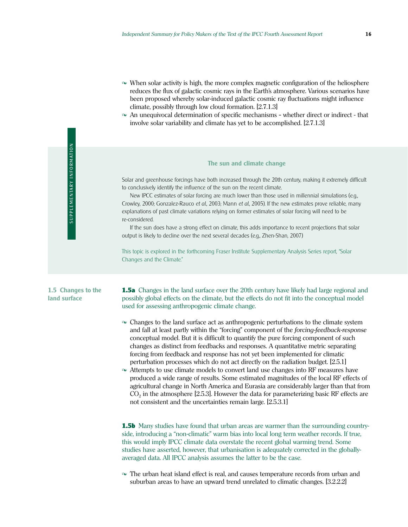- When solar activity is high, the more complex magnetic configuration of the heliosphere reduces the flux of galactic cosmic rays in the Earth's atmosphere. Various scenarios have been proposed whereby solar-induced galactic cosmic ray fluctuations might influence climate, possibly through low cloud formation. [2.7.1.3]
- $\sim$  An unequivocal determination of specific mechanisms whether direct or indirect that involve solar variability and climate has yet to be accomplished. [2.7.1.3]

#### **The sun and climate change**

Solar and greenhouse forcings have both increased through the 20th century, making it extremely difficult to conclusively identify the influence of the sun on the recent climate.

New IPCC estimates of solar forcing are much lower than those used in millennial simulations (e.g., Crowley, 2000; Gonzalez-Rauco *et al*., 2003; Mann *et al*., 2005). If the new estimates prove reliable, many explanations of past climate variations relying on former estimates of solar forcing will need to be re-considered.

If the sun does have a strong effect on climate, this adds importance to recent projections that solar output is likely to decline over the next several decades (e.g., Zhen-Shan, 2007)

This topic is explored in the forthcoming Fraser Institute Supplementary Analysis Series report, "Solar Changes and the Climate."

#### **1.5 Changes to the land surface**

**1.5a** Changes in the land surface over the 20th century have likely had large regional and possibly global effects on the climate, but the effects do not fit into the conceptual model used for assessing anthropogenic climate change.

- Changes to the land surface act as anthropogenic perturbations to the climate system and fall at least partly within the "forcing" component of the *forcing-feedback-response* conceptual model. But it is difficult to quantify the pure forcing component of such changes as distinct from feedbacks and responses. A quantitative metric separating forcing from feedback and response has not yet been implemented for climatic perturbation processes which do not act directly on the radiation budget. [2.5.1]
- Attempts to use climate models to convert land use changes into RF measures have produced a wide range of results. Some estimated magnitudes of the local RF effects of agricultural change in North America and Eurasia are considerably larger than that from  $CO<sub>2</sub>$  in the atmosphere [2.5.3]. However the data for parameterizing basic RF effects are not consistent and the uncertainties remain large. [2.5.3.1]

**1.5b** Many studies have found that urban areas are warmer than the surrounding countryside, introducing a "non-climatic" warm bias into local long term weather records. If true, this would imply IPCC climate data overstate the recent global warming trend. Some studies have asserted, however, that urbanisation is adequately corrected in the globallyaveraged data. All IPCC analysis assumes the latter to be the case.

 The urban heat island effect is real, and causes temperature records from urban and suburban areas to have an upward trend unrelated to climatic changes. [3.2.2.2]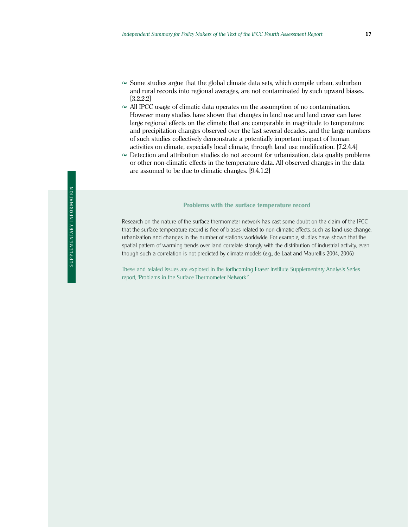- $\sim$  Some studies argue that the global climate data sets, which compile urban, suburban and rural records into regional averages, are not contaminated by such upward biases. [3.2.2.2]
- $\sim$  All IPCC usage of climatic data operates on the assumption of no contamination. However many studies have shown that changes in land use and land cover can have large regional effects on the climate that are comparable in magnitude to temperature and precipitation changes observed over the last several decades, and the large numbers of such studies collectively demonstrate a potentially important impact of human activities on climate, especially local climate, through land use modification. [7.2.4.4]
- Detection and attribution studies do not account for urbanization, data quality problems or other non-climatic effects in the temperature data. All observed changes in the data are assumed to be due to climatic changes. [9.4.1.2]

#### **Problems with the surface temperature record**

Research on the nature of the surface thermometer network has cast some doubt on the claim of the IPCC that the surface temperature record is free of biases related to non-climatic effects, such as land-use change, urbanization and changes in the number of stations worldwide. For example, studies have shown that the spatial pattern of warming trends over land correlate strongly with the distribution of industrial activity, even though such a correlation is not predicted by climate models (e.g., de Laat and Maurellis 2004, 2006).

These and related issues are explored in the forthcoming Fraser Institute Supplementary Analysis Series report, "Problems in the Surface Thermometer Network."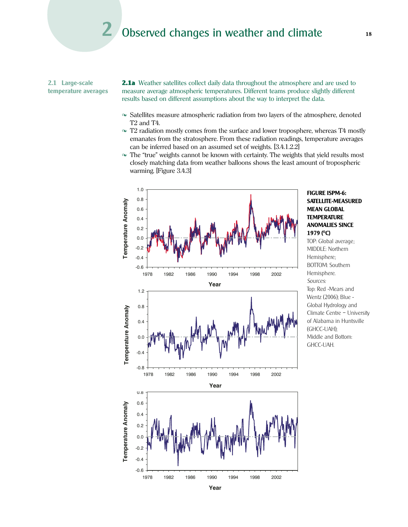# **2** Observed changes in weather and climate **<sup>18</sup>**

**2.1 Large-scale temperature averages** **2.1a** Weather satellites collect daily data throughout the atmosphere and are used to measure average atmospheric temperatures. Different teams produce slightly different results based on different assumptions about the way to interpret the data.

- $\sim$  Satellites measure atmospheric radiation from two layers of the atmosphere, denoted T2 and T4.
- T2 radiation mostly comes from the surface and lower troposphere, whereas T4 mostly emanates from the stratosphere. From these radiation readings, temperature averages can be inferred based on an assumed set of weights. [3.4.1.2.2]
- $\sim$  The "true" weights cannot be known with certainty. The weights that yield results most closely matching data from weather balloons shows the least amount of tropospheric warming. [Figure 3.4.3]



#### **FIGURE ISPM-6: SATELLITE-MEASURED MEAN GLOBAL TEMPERATURE ANOMALIES SINCE 1979 (OC)**

TOP: Global average; MIDDLE: Northern Hemisphere; BOTTOM: Southern Hemisphere. *Sources:* Top: Red -Mears and Wentz (2006); Blue - Global Hydrology and Climate Centre - University of Alabama in Huntsville (GHCC-UAH); Middle and Bottom: GHCC-UAH.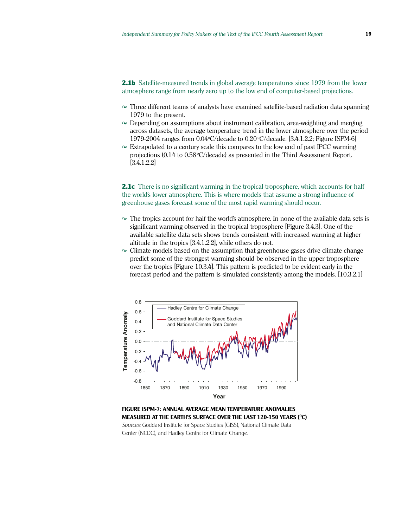**2.1b** Satellite-measured trends in global average temperatures since 1979 from the lower atmosphere range from nearly zero up to the low end of computer-based projections.

- Three different teams of analysts have examined satellite-based radiation data spanning 1979 to the present.
- Depending on assumptions about instrument calibration, area-weighting and merging across datasets, the average temperature trend in the lower atmosphere over the period 1979-2004 ranges from 0.04°C/decade to 0.20°C/decade. [3.4.1.2.2; Figure ISPM-6]
- Extrapolated to a century scale this compares to the low end of past IPCC warming projections (0.14 to 0.58°C/decade) as presented in the Third Assessment Report. [3.4.1.2.2]

2.1c There is no significant warming in the tropical troposphere, which accounts for half the worldís lower atmosphere. This is where models that assume a strong influence of greenhouse gases forecast some of the most rapid warming should occur.

- The tropics account for half the world's atmosphere. In none of the available data sets is significant warming observed in the tropical troposphere [Figure 3.4.3]. One of the available satellite data sets shows trends consistent with increased warming at higher altitude in the tropics [3.4.1.2.2], while others do not.
- Climate models based on the assumption that greenhouse gases drive climate change predict some of the strongest warming should be observed in the upper troposphere over the tropics [Figure 10.3.4]. This pattern is predicted to be evident early in the forecast period and the pattern is simulated consistently among the models. [10.3.2.1]



**FIGURE ISPM-7: ANNUAL AVERAGE MEAN TEMPERATURE ANOMALIES MEASURED AT THE EARTH'S SURFACE OVER THE LAST 120-150 YEARS (°C)** *Sources:* Goddard Institute for Space Studies (GISS), National Climate Data Center (NCDC), and Hadley Centre for Climate Change.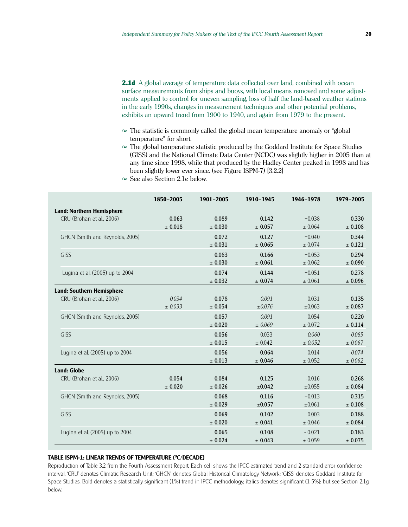**2.1d** A global average of temperature data collected over land, combined with ocean surface measurements from ships and buoys, with local means removed and some adjustments applied to control for uneven sampling, loss of half the land-based weather stations in the early 1990s, changes in measurement techniques and other potential problems, exhibits an upward trend from 1900 to 1940, and again from 1979 to the present.

- $\sim$  The statistic is commonly called the global mean temperature anomaly or "global" temperature" for short.
- The global temperature statistic produced by the Goddard Institute for Space Studies (GISS) and the National Climate Data Center (NCDC) was slightly higher in 2005 than at any time since 1998, while that produced by the Hadley Center peaked in 1998 and has been slightly lower ever since. (see Figure ISPM-7) [3.2.2]
- See also Section 2.1e below.

|                                  | 1850-2005 | 1901-2005 | 1910-1945   | 1946-1978   | 1979-2005   |
|----------------------------------|-----------|-----------|-------------|-------------|-------------|
| <b>Land: Northern Hemisphere</b> |           |           |             |             |             |
| CRU (Brohan et al., 2006)        | 0.063     | 0.089     | 0.142       | $-0.038$    | 0.330       |
|                                  | ± 0.018   | ± 0.030   | ± 0.057     | ± 0.064     | $\pm$ 0.108 |
| GHCN (Smith and Reynolds, 2005)  |           | 0.072     | 0.127       | $-0.040$    | 0.344       |
|                                  |           | ± 0.031   | ± 0.065     | ± 0.074     | ± 0.121     |
| <b>GISS</b>                      |           | 0.083     | 0.166       | $-0.053$    | 0.294       |
|                                  |           | ± 0.030   | ± 0.061     | ± 0.062     | ± 0.090     |
| Lugina et al. (2005) up to 2004  |           | 0.074     | 0.144       | $-0.051$    | 0.278       |
|                                  |           | ± 0.032   | ± 0.074     | ± 0.061     | ± 0.096     |
| <b>Land: Southern Hemisphere</b> |           |           |             |             |             |
| CRU (Brohan et al., 2006)        | 0.034     | 0.078     | 0.091       | 0.031       | 0.135       |
|                                  | ± 0.033   | ± 0.054   | $\pm 0.076$ | ±0.063      | ± 0.087     |
| GHCN (Smith and Reynolds, 2005)  |           | 0.057     | 0.091       | 0.054       | 0.220       |
|                                  |           | ± 0.020   | ± 0.069     | ± 0.072     | ± 0.114     |
| <b>GISS</b>                      |           | 0.056     | 0.033       | 0.060       | 0.085       |
|                                  |           | ± 0.015   | ± 0.042     | ± 0.052     | ± 0.067     |
| Lugina et al. (2005) up to 2004  |           | 0.056     | 0.064       | 0.014       | 0.074       |
|                                  |           | ± 0.013   | ± 0.046     | $\pm 0.052$ | ± 0.062     |
| <b>Land: Globe</b>               |           |           |             |             |             |
| CRU (Brohan et al., 2006)        | 0.054     | 0.084     | 0.125       | $-0.016$    | 0.268       |
|                                  | ± 0.020   | ± 0.026   | $\pm 0.042$ | $\pm 0.055$ | ± 0.084     |
| GHCN (Smith and Reynolds, 2005)  |           | 0.068     | 0.116       | $-0.013$    | 0.315       |
|                                  |           | ± 0.029   | $\pm 0.057$ | ±0.061      | ± 0.108     |
| <b>GISS</b>                      |           | 0.069     | 0.102       | 0.003       | 0.188       |
|                                  |           | ± 0.020   | ± 0.041     | ± 0.046     | ± 0.084     |
| Lugina et al. (2005) up to 2004  |           | 0.065     | 0.108       | $-0.021$    | 0.183       |
|                                  |           | ± 0.024   | ± 0.043     | ± 0.059     | ± 0.075     |

#### TABLE ISPM-1: LINEAR TRENDS OF TEMPERATURE (<sup>O</sup>C/DECADE)

Reproduction of Table 3.2 from the Fourth Assessment Report. Each cell shows the IPCC-estimated trend and 2-standard error confidence interval. 'CRU' denotes Climatic Research Unit; 'GHCN' denotes Global Historical Climatology Network; 'GISS' denotes Goddard Institute for Space Studies. Bold denotes a statistically significant (1%) trend in IPCC methodology; italics denotes significant (1-5%): but see Section 2.1g below.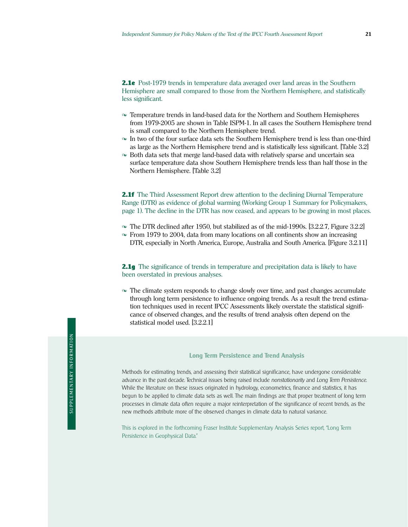**2.1e** Post-1979 trends in temperature data averaged over land areas in the Southern Hemisphere are small compared to those from the Northern Hemisphere, and statistically less significant.

- Temperature trends in land-based data for the Northern and Southern Hemispheres from 1979-2005 are shown in Table ISPM-1. In all cases the Southern Hemisphere trend is small compared to the Northern Hemisphere trend.
- In two of the four surface data sets the Southern Hemisphere trend is less than one-third as large as the Northern Hemisphere trend and is statistically less significant. [Table 3.2]
- Both data sets that merge land-based data with relatively sparse and uncertain sea surface temperature data show Southern Hemisphere trends less than half those in the Northern Hemisphere. [Table 3.2]

**2.1f** The Third Assessment Report drew attention to the declining Diurnal Temperature Range (DTR) as evidence of global warming (Working Group 1 Summary for Policymakers, page 1). The decline in the DTR has now ceased, and appears to be growing in most places.

- $\sim$  The DTR declined after 1950, but stabilized as of the mid-1990s. [3.2.2.7, Figure 3.2.2]
- $\sim$  From 1979 to 2004, data from many locations on all continents show an increasing DTR, especially in North America, Europe, Australia and South America. [Figure 3.2.11]

**2.1g** The significance of trends in temperature and precipitation data is likely to have been overstated in previous analyses.

 $\sim$  The climate system responds to change slowly over time, and past changes accumulate through long term persistence to influence ongoing trends. As a result the trend estimation techniques used in recent IPCC Assessments likely overstate the statistical significance of observed changes, and the results of trend analysis often depend on the statistical model used. [3.2.2.1]

#### **Long Term Persistence and Trend Analysis**

Methods for estimating trends, and assessing their statistical significance, have undergone considerable advance in the past decade. Technical issues being raised include *nonstationarity* and *Long Term Persistence*. While the literature on these issues originated in hydrology, econometrics, finance and statistics, it has begun to be applied to climate data sets as well. The main findings are that proper treatment of long term processes in climate data often require a major reinterpretation of the significance of recent trends, as the new methods attribute more of the observed changes in climate data to natural variance.

This is explored in the forthcoming Fraser Institute Supplementary Analysis Series report, "Long Term Persistence in Geophysical Data."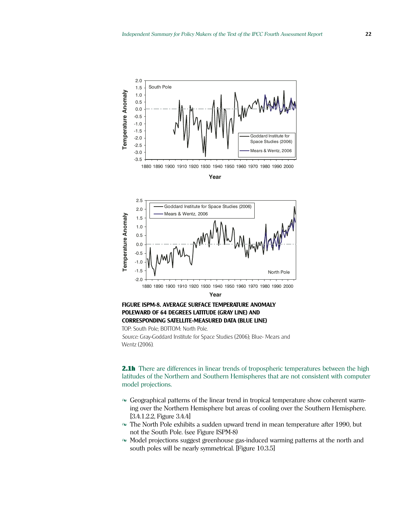





### **FIGURE ISPM-8. AVERAGE SURFACE TEMPERATURE ANOMALY POLEWARD OF 64 DEGREES LATITUDE (GRAY LINE) AND CORRESPONDING SATELLITE-MEASURED DATA (BLUE LINE)**

TOP: South Pole; BOTTOM: North Pole. *Source:* Gray-Goddard Institute for Space Studies (2006); Blue- Mears and Wentz (2006).

**2.1h** There are differences in linear trends of tropospheric temperatures between the high latitudes of the Northern and Southern Hemispheres that are not consistent with computer model projections.

- Geographical patterns of the linear trend in tropical temperature show coherent warming over the Northern Hemisphere but areas of cooling over the Southern Hemisphere. [3.4.1.2.2, Figure 3.4.4]
- The North Pole exhibits a sudden upward trend in mean temperature after 1990, but not the South Pole. (see Figure ISPM-8)
- $\sim$  Model projections suggest greenhouse gas-induced warming patterns at the north and south poles will be nearly symmetrical. [Figure 10.3.5]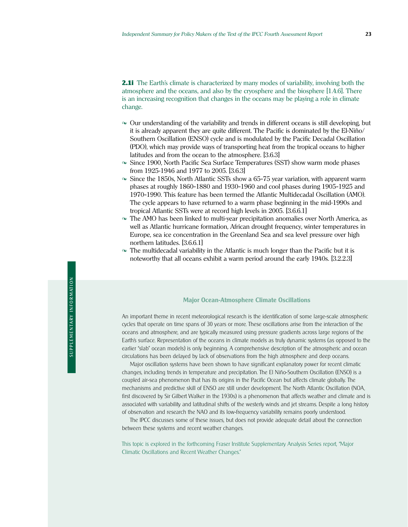**2.1i** The Earth's climate is characterized by many modes of variability, involving both the atmosphere and the oceans, and also by the cryosphere and the biosphere [1.4.6]. There is an increasing recognition that changes in the oceans may be playing a role in climate change.

- $\sim$  Our understanding of the variability and trends in different oceans is still developing, but it is already apparent they are quite different. The Pacific is dominated by the El-Niño/ Southern Oscillation (ENSO) cycle and is modulated by the Pacific Decadal Oscillation (PDO), which may provide ways of transporting heat from the tropical oceans to higher latitudes and from the ocean to the atmosphere. [3.6.3]
- Since 1900, North Pacific Sea Surface Temperatures (SST) show warm mode phases from 1925-1946 and 1977 to 2005. [3.6.3]
- $\sim$  Since the 1850s, North Atlantic SSTs show a 65-75 year variation, with apparent warm phases at roughly 1860-1880 and 1930-1960 and cool phases during 1905-1925 and 1970–1990. This feature has been termed the Atlantic Multidecadal Oscillation (AMO). The cycle appears to have returned to a warm phase beginning in the mid-1990s and tropical Atlantic SSTs were at record high levels in 2005. [3.6.6.1]
- $\sim$  The AMO has been linked to multi-year precipitation anomalies over North America, as well as Atlantic hurricane formation, African drought frequency, winter temperatures in Europe, sea ice concentration in the Greenland Sea and sea level pressure over high northern latitudes. [3.6.6.1]
- $\sim$  The multidecadal variability in the Atlantic is much longer than the Pacific but it is noteworthy that all oceans exhibit a warm period around the early 1940s. [3.2.2.3]

#### **Major Ocean-Atmosphere Climate Oscillations**

An important theme in recent meteorological research is the identification of some large-scale atmospheric cycles that operate on time spans of 30 years or more. These oscillations arise from the interaction of the oceans and atmosphere, and are typically measured using pressure gradients across large regions of the Earthís surface. Representation of the oceans in climate models as truly dynamic systems (as opposed to the earlier "slab" ocean models) is only beginning. A comprehensive description of the atmospheric and ocean circulations has been delayed by lack of observations from the high atmosphere and deep oceans.

Major oscillation systems have been shown to have significant explanatory power for recent climatic changes, including trends in temperature and precipitation. The El Niño-Southern Oscillation (ENSO) is a coupled air-sea phenomenon that has its origins in the Pacific Ocean but affects climate globally. The mechanisms and predictive skill of ENSO are still under development. The North Atlantic Oscillation (NOA, first discovered by Sir Gilbert Walker in the 1930s) is a phenomenon that affects weather and climate and is associated with variability and latitudinal shifts of the westerly winds and jet streams. Despite a long history of observation and research the NAO and its low-frequency variability remains poorly understood.

The IPCC discusses some of these issues, but does not provide adequate detail about the connection between these systems and recent weather changes.

This topic is explored in the forthcoming Fraser Institute Supplementary Analysis Series report, "Major Climatic Oscillations and Recent Weather Changes."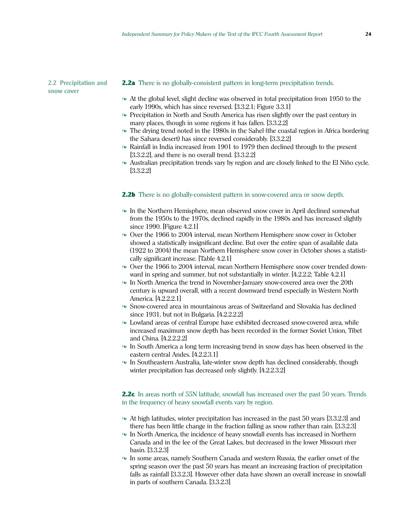**2.2 Precipitation and snow cover**

**2.2a** There is no globally-consistent pattern in long-term precipitation trends.

- $\sim$  At the global level, slight decline was observed in total precipitation from 1950 to the early 1990s, which has since reversed. [3.3.2.1; Figure 3.3.1]
- Precipitation in North and South America has risen slightly over the past century in many places, though in some regions it has fallen. [3.3.2.2]
- The drying trend noted in the 1980s in the Sahel (the coastal region in Africa bordering the Sahara desert) has since reversed considerably. [3.3.2.2]
- Rainfall in India increased from 1901 to 1979 then declined through to the present [3.3.2.2], and there is no overall trend. [3.3.2.2]
- $\sim$  Australian precipitation trends vary by region and are closely linked to the El Niño cycle. [3.3.2.2]

#### 2.2b There is no globally-consistent pattern in snow-covered area or snow depth.

- In the Northern Hemisphere, mean observed snow cover in April declined somewhat from the 1950s to the 1970s, declined rapidly in the 1980s and has increased slightly since 1990. [Figure 4.2.1]
- Over the 1966 to 2004 interval, mean Northern Hemisphere snow cover in October showed a statistically insignificant decline. But over the entire span of available data (1922 to 2004) the mean Northern Hemisphere snow cover in October shows a statistically significant increase. [Table 4.2.1]
- Over the 1966 to 2004 interval, mean Northern Hemisphere snow cover trended downward in spring and summer, but not substantially in winter. [4.2.2.2; Table 4.2.1]
- In North America the trend in November-January snow-covered area over the 20th century is upward overall, with a recent downward trend especially in Western North America. [4.2.2.2.1]
- Snow-covered area in mountainous areas of Switzerland and Slovakia has declined since 1931, but not in Bulgaria. [4.2.2.2.2]
- Lowland areas of central Europe have exhibited decreased snow-covered area, while increased maximum snow depth has been recorded in the former Soviet Union, Tibet and China. [4.2.2.2.2]
- In South America a long term increasing trend in snow days has been observed in the eastern central Andes. [4.2.2.3.1]
- $\sim$  In Southeastern Australia, late-winter snow depth has declined considerably, though winter precipitation has decreased only slightly. [4.2.2.3.2]

#### 2.2c In areas north of 55N latitude, snowfall has increased over the past 50 years. Trends in the frequency of heavy snowfall events vary by region.

- $\sim$  At high latitudes, winter precipitation has increased in the past 50 years [3.3.2.3] and there has been little change in the fraction falling as snow rather than rain. [3.3.2.3]
- $\infty$  In North America, the incidence of heavy snowfall events has increased in Northern Canada and in the lee of the Great Lakes, but decreased in the lower Missouri river basin. [3.3.2.3]
- In some areas, namely Southern Canada and western Russia, the earlier onset of the spring season over the past 50 years has meant an increasing fraction of precipitation falls as rainfall [3.3.2.3]. However other data have shown an overall increase in snowfall in parts of southern Canada. [3.3.2.3]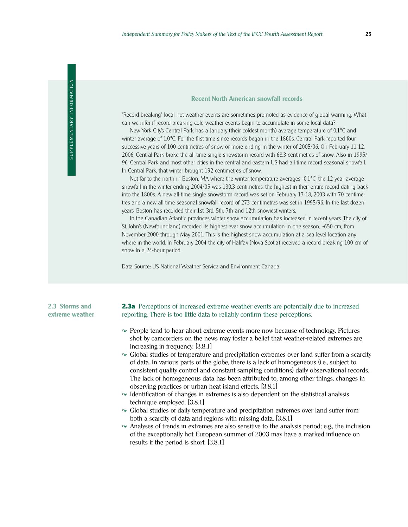#### **Recent North American snowfall records**

ìRecord-breakingî local hot weather events are sometimes promoted as evidence of global warming. What can we infer if record-breaking cold weather events begin to accumulate in some local data?

New York City's Central Park has a January (their coldest month) average temperature of 0.1°C and winter average of 1.0°C. For the first time since records began in the 1860s, Central Park reported four successive years of 100 centimetres of snow or more ending in the winter of 2005/06. On February 11-12, 2006, Central Park broke the all-time single snowstorm record with 68.3 centimetres of snow. Also in 1995/ 96, Central Park and most other cities in the central and eastern US had all-time record seasonal snowfall. In Central Park, that winter brought 192 centimetres of snow.

Not far to the north in Boston, MA where the winter temperature averages -0.1°C, the 12 year average snowfall in the winter ending 2004/05 was 130.3 centimetres, the highest in their entire record dating back into the 1800s. A new all-time single snowstorm record was set on February 17-18, 2003 with 70 centimetres and a new all-time seasonal snowfall record of 273 centimetres was set in 1995/96. In the last dozen years, Boston has recorded their 1st, 3rd, 5th, 7th and 12th snowiest winters.

In the Canadian Atlantic provinces winter snow accumulation has increased in recent years. The city of St. Johnís (Newfoundland) recorded its highest ever snow accumulation in one season, ~650 cm, from November 2000 through May 2001. This is the highest snow accumulation at a sea-level location any where in the world. In February 2004 the city of Halifax (Nova Scotia) received a record-breaking 100 cm of snow in a 24-hour period.

Data Source: US National Weather Service and Environment Canada

#### **2.3 Storms and extreme weather**

**2.3a** Perceptions of increased extreme weather events are potentially due to increased reporting. There is too little data to reliably confirm these perceptions.

- People tend to hear about extreme events more now because of technology. Pictures shot by camcorders on the news may foster a belief that weather-related extremes are increasing in frequency. [3.8.1]
- Global studies of temperature and precipitation extremes over land suffer from a scarcity of data. In various parts of the globe, there is a lack of homogeneous (i.e., subject to consistent quality control and constant sampling conditions) daily observational records. The lack of homogeneous data has been attributed to, among other things, changes in observing practices or urban heat island effects. [3.8.1]
- Identification of changes in extremes is also dependent on the statistical analysis technique employed. [3.8.1]
- Global studies of daily temperature and precipitation extremes over land suffer from both a scarcity of data and regions with missing data. [3.8.1]
- Analyses of trends in extremes are also sensitive to the analysis period; e.g., the inclusion of the exceptionally hot European summer of 2003 may have a marked influence on results if the period is short. [3.8.1]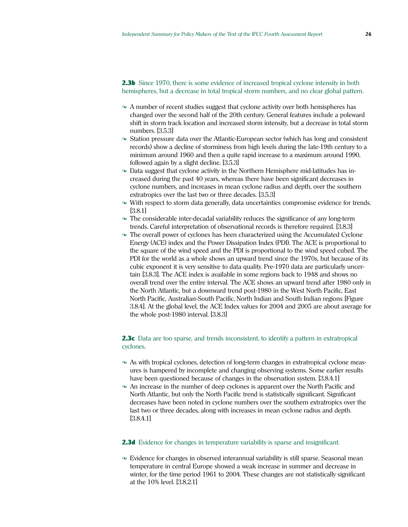**2.3b** Since 1970, there is some evidence of increased tropical cyclone intensity in both hemispheres, but a decrease in total tropical storm numbers, and no clear global pattern.

- A number of recent studies suggest that cyclone activity over both hemispheres has changed over the second half of the 20th century. General features include a poleward shift in storm track location and increased storm intensity, but a decrease in total storm numbers. [3.5.3]
- Station pressure data over the Atlantic-European sector (which has long and consistent records) show a decline of storminess from high levels during the late-19th century to a minimum around 1960 and then a quite rapid increase to a maximum around 1990, followed again by a slight decline. [3.5.3]
- Data suggest that cyclone activity in the Northern Hemisphere mid-latitudes has increased during the past 40 years, whereas there have been significant decreases in cyclone numbers, and increases in mean cyclone radius and depth, over the southern extratropics over the last two or three decades. [3.5.3]
- With respect to storm data generally, data uncertainties compromise evidence for trends. [3.8.1]
- The considerable inter-decadal variability reduces the significance of any long-term trends. Careful interpretation of observational records is therefore required. [3.8.3]
- The overall power of cyclones has been characterized using the Accumulated Cyclone Energy (ACE) index and the Power Dissipation Index (PDI). The ACE is proportional to the square of the wind speed and the PDI is proportional to the wind speed cubed. The PDI for the world as a whole shows an upward trend since the 1970s, but because of its cubic exponent it is very sensitive to data quality. Pre-1970 data are particularly uncertain [3.8.3]. The ACE index is available in some regions back to 1948 and shows no overall trend over the entire interval. The ACE shows an upward trend after 1980 only in the North Atlantic, but a downward trend post-1980 in the West North Pacific, East North Pacific, Australian-South Pacific, North Indian and South Indian regions [Figure 3.8.4]. At the global level, the ACE Index values for 2004 and 2005 are about average for the whole post-1980 interval. [3.8.3]

#### **2.3c** Data are too sparse, and trends inconsistent, to identify a pattern in extratropical cyclones.

- As with tropical cyclones, detection of long-term changes in extratropical cyclone measures is hampered by incomplete and changing observing systems. Some earlier results have been questioned because of changes in the observation system. [3.8.4.1]
- An increase in the number of deep cyclones is apparent over the North Pacific and North Atlantic, but only the North Pacific trend is statistically significant. Significant decreases have been noted in cyclone numbers over the southern extratropics over the last two or three decades, along with increases in mean cyclone radius and depth. [3.8.4.1]

#### 2.3d Evidence for changes in temperature variability is sparse and insignificant.

 Evidence for changes in observed interannual variability is still sparse. Seasonal mean temperature in central Europe showed a weak increase in summer and decrease in winter, for the time period 1961 to 2004. These changes are not statistically significant at the 10% level. [3.8.2.1]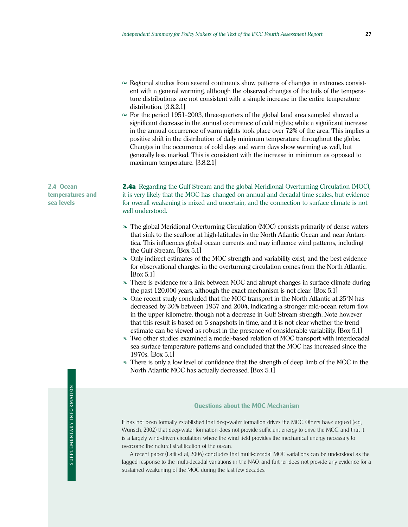- Regional studies from several continents show patterns of changes in extremes consistent with a general warming, although the observed changes of the tails of the temperature distributions are not consistent with a simple increase in the entire temperature distribution. [3.8.2.1]
- $\sim$  For the period 1951–2003, three-quarters of the global land area sampled showed a significant decrease in the annual occurrence of cold nights; while a significant increase in the annual occurrence of warm nights took place over 72% of the area. This implies a positive shift in the distribution of daily minimum temperature throughout the globe. Changes in the occurrence of cold days and warm days show warming as well, but generally less marked. This is consistent with the increase in minimum as opposed to maximum temperature. [3.8.2.1]

2.4a Regarding the Gulf Stream and the global Meridional Overturning Circulation (MOC), it is very likely that the MOC has changed on annual and decadal time scales, but evidence for overall weakening is mixed and uncertain, and the connection to surface climate is not well understood.

- The global Meridional Overturning Circulation (MOC) consists primarily of dense waters that sink to the seafloor at high-latitudes in the North Atlantic Ocean and near Antarctica. This influences global ocean currents and may influence wind patterns, including the Gulf Stream. [Box 5.1]
- $\sim$  Only indirect estimates of the MOC strength and variability exist, and the best evidence for observational changes in the overturning circulation comes from the North Atlantic. [Box 5.1]
- There is evidence for a link between MOC and abrupt changes in surface climate during the past 120,000 years, although the exact mechanism is not clear. [Box 5.1]
- $\sim$  One recent study concluded that the MOC transport in the North Atlantic at 25 $\rm\acute{o}N$  has decreased by 30% between 1957 and 2004, indicating a stronger mid-ocean return flow in the upper kilometre, though not a decrease in Gulf Stream strength. Note however that this result is based on 5 snapshots in time, and it is not clear whether the trend estimate can be viewed as robust in the presence of considerable variability. [Box 5.1]
- Two other studies examined a model-based relation of MOC transport with interdecadal sea surface temperature patterns and concluded that the MOC has increased since the 1970s. [Box 5.1]
- $\sim$  There is only a low level of confidence that the strength of deep limb of the MOC in the North Atlantic MOC has actually decreased. [Box 5.1]

#### **Questions about the MOC Mechanism**

It has not been formally established that deep-water formation drives the MOC. Others have argued (e.g., Wunsch, 2002) that deep-water formation does not provide sufficient energy to drive the MOC, and that it is a largely wind-driven circulation, where the wind field provides the mechanical energy necessary to overcome the natural stratification of the ocean.

A recent paper (Latif et al, 2006) concludes that multi-decadal MOC variations can be understood as the lagged response to the multi-decadal variations in the NAO, and further does not provide any evidence for a sustained weakening of the MOC during the last few decades.

**2.4 Ocean temperatures and sea levels**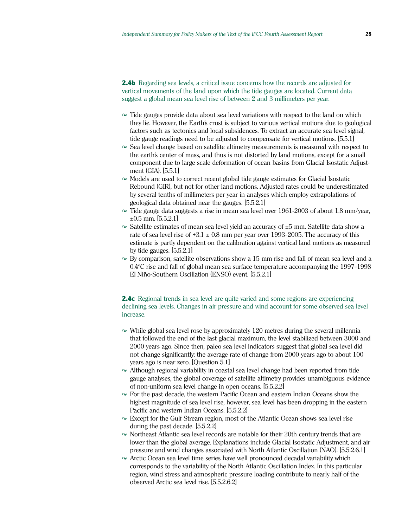2.4b Regarding sea levels, a critical issue concerns how the records are adjusted for vertical movements of the land upon which the tide gauges are located. Current data suggest a global mean sea level rise of between 2 and 3 millimeters per year.

- $\sim$  Tide gauges provide data about sea level variations with respect to the land on which they lie. However, the Earthís crust is subject to various vertical motions due to geological factors such as tectonics and local subsidences. To extract an accurate sea level signal, tide gauge readings need to be adjusted to compensate for vertical motions. [5.5.1]
- Sea level change based on satellite altimetry measurements is measured with respect to the earthís center of mass, and thus is not distorted by land motions, except for a small component due to large scale deformation of ocean basins from Glacial Isostatic Adjustment (GIA). [5.5.1]
- Models are used to correct recent global tide gauge estimates for Glacial Isostatic Rebound (GIR), but not for other land motions. Adjusted rates could be underestimated by several tenths of millimeters per year in analyses which employ extrapolations of geological data obtained near the gauges. [5.5.2.1]
- $\sim$  Tide gauge data suggests a rise in mean sea level over 1961-2003 of about 1.8 mm/year,  $\pm 0.5$  mm. [5.5.2.1]
- Satellite estimates of mean sea level yield an accuracy of ±5 mm. Satellite data show a rate of sea level rise of  $+3.1 \pm 0.8$  mm per year over 1993-2005. The accuracy of this estimate is partly dependent on the calibration against vertical land motions as measured by tide gauges. [5.5.2.1]
- By comparison, satellite observations show a 15 mm rise and fall of mean sea level and a  $0.4^{\circ}\mathrm{C}$  rise and fall of global mean sea surface temperature accompanying the  $1997$ – $1998$ El Niño-Southern Oscillation (ENSO) event. [5.5.2.1]

2.4c Regional trends in sea level are quite varied and some regions are experiencing declining sea levels. Changes in air pressure and wind account for some observed sea level increase.

- While global sea level rose by approximately 120 metres during the several millennia that followed the end of the last glacial maximum, the level stabilized between 3000 and 2000 years ago. Since then, paleo sea level indicators suggest that global sea level did not change significantly: the average rate of change from 2000 years ago to about 100 years ago is near zero. [Question 5.1]
- Although regional variability in coastal sea level change had been reported from tide gauge analyses, the global coverage of satellite altimetry provides unambiguous evidence of non-uniform sea level change in open oceans. [5.5.2.2]
- For the past decade, the western Pacific Ocean and eastern Indian Oceans show the highest magnitude of sea level rise, however, sea level has been dropping in the eastern Pacific and western Indian Oceans. [5.5.2.2]
- Except for the Gulf Stream region, most of the Atlantic Ocean shows sea level rise during the past decade. [5.5.2.2]
- Northeast Atlantic sea level records are notable for their 20th century trends that are lower than the global average. Explanations include Glacial Isostatic Adjustment, and air pressure and wind changes associated with North Atlantic Oscillation (NAO). [5.5.2.6.1]
- Arctic Ocean sea level time series have well pronounced decadal variability which corresponds to the variability of the North Atlantic Oscillation Index. In this particular region, wind stress and atmospheric pressure loading contribute to nearly half of the observed Arctic sea level rise. [5.5.2.6.2]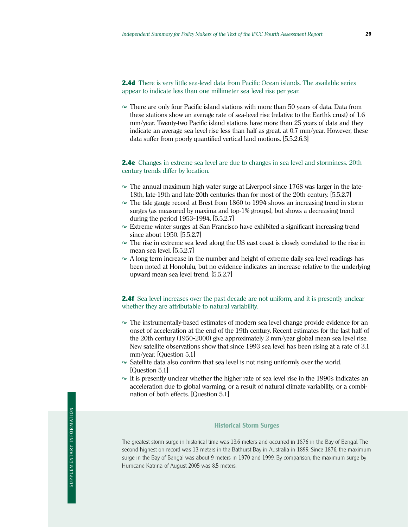2.4d There is very little sea-level data from Pacific Ocean islands. The available series appear to indicate less than one millimeter sea level rise per year.

 There are only four Pacific island stations with more than 50 years of data. Data from these stations show an average rate of sea-level rise (relative to the Earthís crust) of 1.6 mm/year. Twenty-two Pacific island stations have more than 25 years of data and they indicate an average sea level rise less than half as great, at 0.7 mm/year. However, these data suffer from poorly quantified vertical land motions. [5.5.2.6.3]

**2.4e** Changes in extreme sea level are due to changes in sea level and storminess. 20th century trends differ by location.

- $\sim$  The annual maximum high water surge at Liverpool since 1768 was larger in the late-18th, late-19th and late-20th centuries than for most of the 20th century. [5.5.2.7]
- $\sim$  The tide gauge record at Brest from 1860 to 1994 shows an increasing trend in storm surges (as measured by maxima and top-1% groups), but shows a decreasing trend during the period  $1953-1994$ .  $[5.5.2.7]$
- Extreme winter surges at San Francisco have exhibited a significant increasing trend since about 1950. [5.5.2.7]
- The rise in extreme sea level along the US east coast is closely correlated to the rise in mean sea level. [5.5.2.7]
- $\sim$  A long term increase in the number and height of extreme daily sea level readings has been noted at Honolulu, but no evidence indicates an increase relative to the underlying upward mean sea level trend. [5.5.2.7]

**2.4f** Sea level increases over the past decade are not uniform, and it is presently unclear whether they are attributable to natural variability.

- The instrumentally-based estimates of modern sea level change provide evidence for an onset of acceleration at the end of the 19th century. Recent estimates for the last half of the 20th century (1950–2000) give approximately 2 mm/year global mean sea level rise. New satellite observations show that since 1993 sea level has been rising at a rate of 3.1 mm/year. [Question 5.1]
- Satellite data also confirm that sea level is not rising uniformly over the world. [Question 5.1]
- $\sim$  It is presently unclear whether the higher rate of sea level rise in the 1990's indicates an acceleration due to global warming, or a result of natural climate variability, or a combination of both effects. [Question 5.1]

#### **Historical Storm Surges**

The greatest storm surge in historical time was 13.6 meters and occurred in 1876 in the Bay of Bengal. The second highest on record was 13 meters in the Bathurst Bay in Australia in 1899. Since 1876, the maximum surge in the Bay of Bengal was about 9 meters in 1970 and 1999. By comparison, the maximum surge by Hurricane Katrina of August 2005 was 8.5 meters.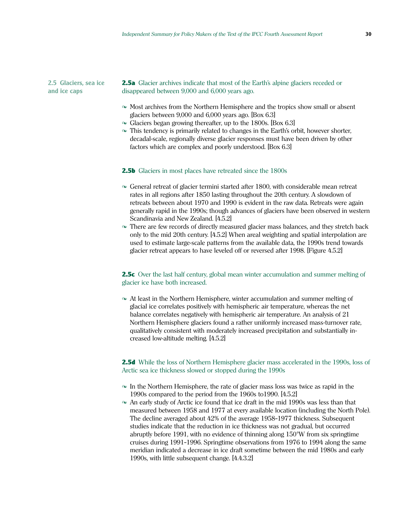**2.5 Glaciers, sea ice and ice caps**

**2.5a** Glacier archives indicate that most of the Earth's alpine glaciers receded or disappeared between 9,000 and 6,000 years ago.

- Most archives from the Northern Hemisphere and the tropics show small or absent glaciers between 9,000 and 6,000 years ago. [Box 6.3]
- Glaciers began growing thereafter, up to the 1800s. [Box 6.3]
- This tendency is primarily related to changes in the Earthís orbit, however shorter, decadal-scale, regionally diverse glacier responses must have been driven by other factors which are complex and poorly understood. [Box 6.3]

#### **2.5b** Glaciers in most places have retreated since the 1800s

- $\sim$  General retreat of glacier termini started after 1800, with considerable mean retreat rates in all regions after 1850 lasting throughout the 20th century. A slowdown of retreats between about 1970 and 1990 is evident in the raw data. Retreats were again generally rapid in the 1990s; though advances of glaciers have been observed in western Scandinavia and New Zealand. [4.5.2]
- There are few records of directly measured glacier mass balances, and they stretch back only to the mid 20th century. [4.5.2] When areal weighting and spatial interpolation are used to estimate large-scale patterns from the available data, the 1990s trend towards glacier retreat appears to have leveled off or reversed after 1998. [Figure 4.5.2]

#### **2.5c** Over the last half century, global mean winter accumulation and summer melting of glacier ice have both increased.

 $\sim$  At least in the Northern Hemisphere, winter accumulation and summer melting of glacial ice correlates positively with hemispheric air temperature, whereas the net balance correlates negatively with hemispheric air temperature. An analysis of 21 Northern Hemisphere glaciers found a rather uniformly increased mass-turnover rate, qualitatively consistent with moderately increased precipitation and substantially increased low-altitude melting. [4.5.2]

**2.5d** While the loss of Northern Hemisphere glacier mass accelerated in the 1990s, loss of Arctic sea ice thickness slowed or stopped during the 1990s

- $\sim$  In the Northern Hemisphere, the rate of glacier mass loss was twice as rapid in the 1990s compared to the period from the 1960s to1990. [4.5.2]
- $\sim$  An early study of Arctic ice found that ice draft in the mid 1990s was less than that measured between 1958 and 1977 at every available location (including the North Pole). The decline averaged about  $42\%$  of the average 1958–1977 thickness. Subsequent studies indicate that the reduction in ice thickness was not gradual, but occurred abruptly before 1991, with no evidence of thinning along 150°W from six springtime cruises during 1991-1996. Springtime observations from 1976 to 1994 along the same meridian indicated a decrease in ice draft sometime between the mid 1980s and early 1990s, with little subsequent change. [4.4.3.2]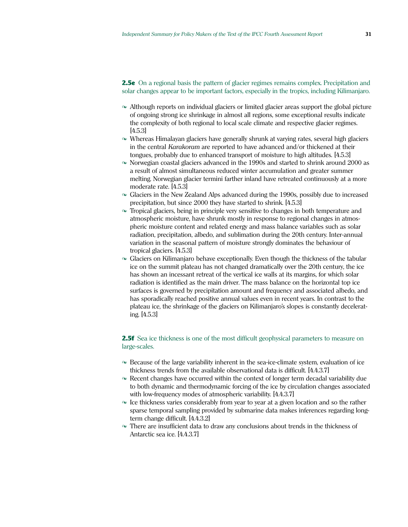**2.5e** On a regional basis the pattern of glacier regimes remains complex. Precipitation and solar changes appear to be important factors, especially in the tropics, including Kilimanjaro.

- Although reports on individual glaciers or limited glacier areas support the global picture of ongoing strong ice shrinkage in almost all regions, some exceptional results indicate the complexity of both regional to local scale climate and respective glacier regimes. [4.5.3]
- Whereas Himalayan glaciers have generally shrunk at varying rates, several high glaciers in the central *Karakoram* are reported to have advanced and/or thickened at their tongues, probably due to enhanced transport of moisture to high altitudes. [4.5.3]
- Norwegian coastal glaciers advanced in the 1990s and started to shrink around 2000 as a result of almost simultaneous reduced winter accumulation and greater summer melting. Norwegian glacier termini farther inland have retreated continuously at a more moderate rate. [4.5.3]
- Glaciers in the New Zealand Alps advanced during the 1990s, possibly due to increased precipitation, but since 2000 they have started to shrink. [4.5.3]
- Tropical glaciers, being in principle very sensitive to changes in both temperature and atmospheric moisture, have shrunk mostly in response to regional changes in atmospheric moisture content and related energy and mass balance variables such as solar radiation, precipitation, albedo, and sublimation during the 20th century. Inter-annual variation in the seasonal pattern of moisture strongly dominates the behaviour of tropical glaciers. [4.5.3]
- $\sim$  Glaciers on Kilimanjaro behave exceptionally. Even though the thickness of the tabular ice on the summit plateau has not changed dramatically over the 20th century, the ice has shown an incessant retreat of the vertical ice walls at its margins, for which solar radiation is identified as the main driver. The mass balance on the horizontal top ice surfaces is governed by precipitation amount and frequency and associated albedo, and has sporadically reached positive annual values even in recent years. In contrast to the plateau ice, the shrinkage of the glaciers on Kilimanjaroís slopes is constantly decelerating. [4.5.3]

#### **2.5f** Sea ice thickness is one of the most difficult geophysical parameters to measure on large-scales.

- $\sim$  Because of the large variability inherent in the sea-ice-climate system, evaluation of ice thickness trends from the available observational data is difficult. [4.4.3.7]
- Recent changes have occurred within the context of longer term decadal variability due to both dynamic and thermodynamic forcing of the ice by circulation changes associated with low-frequency modes of atmospheric variability. [4.4.3.7]
- $\sim$  Ice thickness varies considerably from year to year at a given location and so the rather sparse temporal sampling provided by submarine data makes inferences regarding longterm change difficult. [4.4.3.2]
- There are insufficient data to draw any conclusions about trends in the thickness of Antarctic sea ice. [4.4.3.7]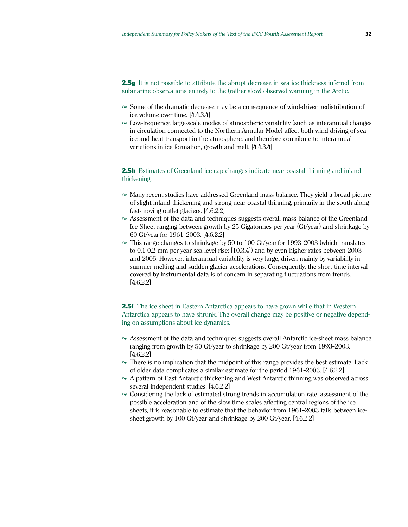**2.5g** It is not possible to attribute the abrupt decrease in sea ice thickness inferred from submarine observations entirely to the (rather slow) observed warming in the Arctic.

- Some of the dramatic decrease may be a consequence of wind-driven redistribution of ice volume over time. [4.4.3.4]
- Low-frequency, large-scale modes of atmospheric variability (such as interannual changes in circulation connected to the Northern Annular Mode) affect both wind-driving of sea ice and heat transport in the atmosphere, and therefore contribute to interannual variations in ice formation, growth and melt. [4.4.3.4]

#### **2.5h** Estimates of Greenland ice cap changes indicate near coastal thinning and inland thickening.

- Many recent studies have addressed Greenland mass balance. They yield a broad picture of slight inland thickening and strong near-coastal thinning, primarily in the south along fast-moving outlet glaciers. [4.6.2.2]
- Assessment of the data and techniques suggests overall mass balance of the Greenland Ice Sheet ranging between growth by 25 Gigatonnes per year (Gt/year) and shrinkage by 60 Gt/year for 1961-2003. [4.6.2.2]
- $\sim$  This range changes to shrinkage by 50 to 100 Gt/year for 1993-2003 (which translates to 0.1-0.2 mm per year sea level rise: [10.3.4]) and by even higher rates between 2003 and 2005. However, interannual variability is very large, driven mainly by variability in summer melting and sudden glacier accelerations. Consequently, the short time interval covered by instrumental data is of concern in separating fluctuations from trends. [4.6.2.2]

**2.5i** The ice sheet in Eastern Antarctica appears to have grown while that in Western Antarctica appears to have shrunk. The overall change may be positive or negative depending on assumptions about ice dynamics.

- Assessment of the data and techniques suggests overall Antarctic ice-sheet mass balance ranging from growth by 50 Gt/year to shrinkage by  $200$  Gt/year from 1993-2003. [4.6.2.2]
- $\sim$  There is no implication that the midpoint of this range provides the best estimate. Lack of older data complicates a similar estimate for the period  $1961-2003$ . [4.6.2.2]
- A pattern of East Antarctic thickening and West Antarctic thinning was observed across several independent studies. [4.6.2.2]
- Considering the lack of estimated strong trends in accumulation rate, assessment of the possible acceleration and of the slow time scales affecting central regions of the ice sheets, it is reasonable to estimate that the behavior from 1961-2003 falls between icesheet growth by 100 Gt/year and shrinkage by 200 Gt/year. [4.6.2.2]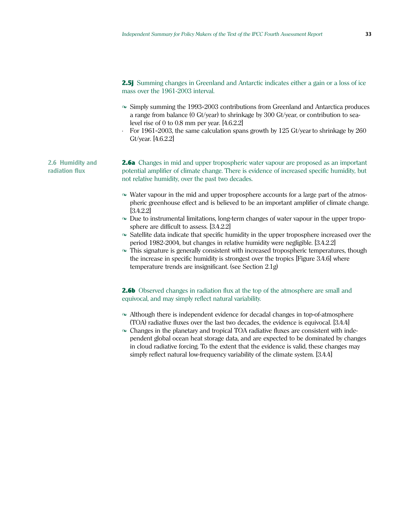**2.5j** Summing changes in Greenland and Antarctic indicates either a gain or a loss of ice mass over the 1961-2003 interval.

- $\sim$  Simply summing the 1993-2003 contributions from Greenland and Antarctica produces a range from balance (0 Gt/year) to shrinkage by 300 Gt/year, or contribution to sealevel rise of 0 to 0.8 mm per year. [4.6.2.2]
- · For 1961-2003, the same calculation spans growth by 125 Gt/yearto shrinkage by 260 Gt/year. [4.6.2.2]

2.6a Changes in mid and upper tropospheric water vapour are proposed as an important potential amplifier of climate change. There is evidence of increased specific humidity, but not relative humidity, over the past two decades.

- Water vapour in the mid and upper troposphere accounts for a large part of the atmospheric greenhouse effect and is believed to be an important amplifier of climate change. [3.4.2.2]
- $\sim$  Due to instrumental limitations, long-term changes of water vapour in the upper troposphere are difficult to assess. [3.4.2.2]
- Satellite data indicate that specific humidity in the upper troposphere increased over the period 1982-2004, but changes in relative humidity were negligible. [3.4.2.2]
- This signature is generally consistent with increased tropospheric temperatures, though the increase in specific humidity is strongest over the tropics [Figure 3.4.6] where temperature trends are insignificant. (see Section 2.1g)

2.6b Observed changes in radiation flux at the top of the atmosphere are small and equivocal, and may simply reflect natural variability.

- Although there is independent evidence for decadal changes in top-of-atmosphere (TOA) radiative fluxes over the last two decades, the evidence is equivocal. [3.4.4]
- Changes in the planetary and tropical TOA radiative fluxes are consistent with independent global ocean heat storage data, and are expected to be dominated by changes in cloud radiative forcing. To the extent that the evidence is valid, these changes may simply reflect natural low-frequency variability of the climate system. [3.4.4]

**2.6 Humidity and radiation flux**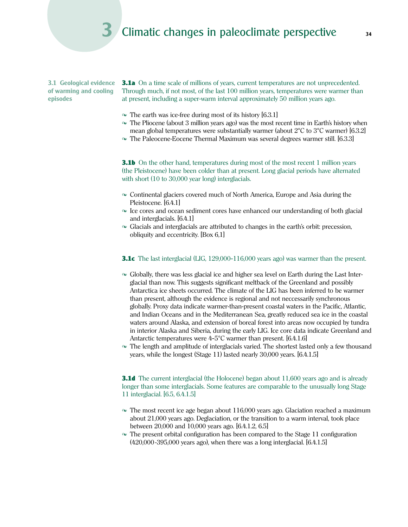**3.1 Geological evidence of warming and cooling episodes**

**3.1a** On a time scale of millions of years, current temperatures are not unprecedented. Through much, if not most, of the last 100 million years, temperatures were warmer than at present, including a super-warm interval approximately 50 million years ago.

- $\sim$  The earth was ice-free during most of its history [6.3.1]
- $\sim$  The Pliocene (about 3 million years ago) was the most recent time in Earth's history when mean global temperatures were substantially warmer (about  $2^{\circ}C$  to  $3^{\circ}C$  warmer) [6.3.2]
- The Paleocene-Eocene Thermal Maximum was several degrees warmer still. [6.3.3]

**3.1b** On the other hand, temperatures during most of the most recent 1 million years (the Pleistocene) have been colder than at present. Long glacial periods have alternated with short (10 to 30,000 year long) interglacials.

- Continental glaciers covered much of North America, Europe and Asia during the Pleistocene. [6.4.1]
- $\sim$  Ice cores and ocean sediment cores have enhanced our understanding of both glacial and interglacials. [6.4.1]
- Glacials and interglacials are attributed to changes in the earthís orbit: precession, obliquity and eccentricity. [Box 6,1]

#### **3.1c** The last interglacial (LIG,  $129,000$ -116,000 years ago) was warmer than the present.

- $\sim$  Globally, there was less glacial ice and higher sea level on Earth during the Last Interglacial than now. This suggests significant meltback of the Greenland and possibly Antarctica ice sheets occurred. The climate of the LIG has been inferred to be warmer than present, although the evidence is regional and not neccessarily synchronous globally. Proxy data indicate warmer-than-present coastal waters in the Pacific, Atlantic, and Indian Oceans and in the Mediterranean Sea, greatly reduced sea ice in the coastal waters around Alaska, and extension of boreal forest into areas now occupied by tundra in interior Alaska and Siberia, during the early LIG. Ice core data indicate Greenland and Antarctic temperatures were  $4-5^{\circ}$ C warmer than present. [6.4.1.6]
- $\sim$  The length and amplitude of interglacials varied. The shortest lasted only a few thousand years, while the longest (Stage 11) lasted nearly 30,000 years. [6.4.1.5]

**3.1d** The current interglacial (the Holocene) began about 11,600 years ago and is already longer than some interglacials. Some features are comparable to the unusually long Stage 11 interglacial. [6.5, 6.4.1.5]

- $\sim$  The most recent ice age began about 116,000 years ago. Glaciation reached a maximum about 21,000 years ago. Deglaciation, or the transition to a warm interval, took place between 20,000 and 10,000 years ago. [6.4.1.2, 6.5]
- $\sim$  The present orbital configuration has been compared to the Stage 11 configuration  $(420,000-395,000$  years ago), when there was a long interglacial.  $[6.4.1.5]$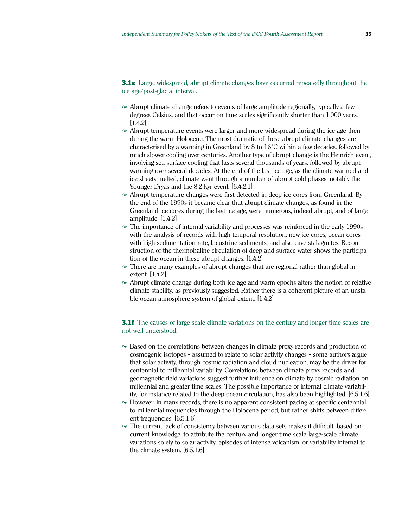**3.1e** Large, widespread, abrupt climate changes have occurred repeatedly throughout the ice age/post-glacial interval.

- $\sim$  Abrupt climate change refers to events of large amplitude regionally, typically a few degrees Celsius, and that occur on time scales significantly shorter than 1,000 years.  $[1.4.2]$
- Abrupt temperature events were larger and more widespread during the ice age then during the warm Holocene. The most dramatic of these abrupt climate changes are characterised by a warming in Greenland by 8 to 16°C within a few decades, followed by much slower cooling over centuries. Another type of abrupt change is the Heinrich event, involving sea surface cooling that lasts several thousands of years, followed by abrupt warming over several decades. At the end of the last ice age, as the climate warmed and ice sheets melted, climate went through a number of abrupt cold phases, notably the Younger Dryas and the 8.2 kyr event. [6.4.2.1]
- Abrupt temperature changes were first detected in deep ice cores from Greenland. By the end of the 1990s it became clear that abrupt climate changes, as found in the Greenland ice cores during the last ice age, were numerous, indeed abrupt, and of large amplitude. [1.4.2]
- $\sim$  The importance of internal variability and processes was reinforced in the early 1990s with the analysis of records with high temporal resolution: new ice cores, ocean cores with high sedimentation rate, lacustrine sediments, and also cave stalagmites. Reconstruction of the thermohaline circulation of deep and surface water shows the participation of the ocean in these abrupt changes. [1.4.2]
- There are many examples of abrupt changes that are regional rather than global in extent. [1.4.2]
- Abrupt climate change during both ice age and warm epochs alters the notion of relative climate stability, as previously suggested. Rather there is a coherent picture of an unstable ocean-atmosphere system of global extent. [1.4.2]

#### **3.1f** The causes of large-scale climate variations on the century and longer time scales are not well-understood.

- Based on the correlations between changes in climate proxy records and production of cosmogenic isotopes - assumed to relate to solar activity changes - some authors argue that solar activity, through cosmic radiation and cloud nucleation, may be the driver for centennial to millennial variability. Correlations between climate proxy records and geomagnetic field variations suggest further influence on climate by cosmic radiation on millennial and greater time scales. The possible importance of internal climate variability, for instance related to the deep ocean circulation, has also been highlighted. [6.5.1.6]
- However, in many records, there is no apparent consistent pacing at specific centennial to millennial frequencies through the Holocene period, but rather shifts between different frequencies. [6.5.1.6]
- The current lack of consistency between various data sets makes it difficult, based on current knowledge, to attribute the century and longer time scale large-scale climate variations solely to solar activity, episodes of intense volcanism, or variability internal to the climate system. [6.5.1.6]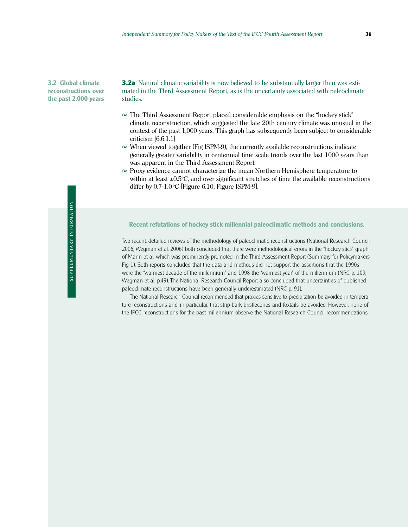**3.2 Global climate reconstructions over the past 2,000 years** **3.2a** Natural climatic variability is now believed to be substantially larger than was estimated in the Third Assessment Report, as is the uncertainty associated with paleoclimate studies.

- $\sim$  The Third Assessment Report placed considerable emphasis on the "hockey stick" climate reconstruction, which suggested the late 20th century climate was unusual in the context of the past 1,000 years. This graph has subsequently been subject to considerable criticism [6.6.1.1]
- When viewed together (Fig ISPM-9), the currently available reconstructions indicate generally greater variability in centennial time scale trends over the last 1000 years than was apparent in the Third Assessment Report.
- Proxy evidence cannot characterize the mean Northern Hemisphere temperature to within at least  $\pm 0.5^{\circ}$ C, and over significant stretches of time the available reconstructions differ by 0.7-1.0°C [Figure 6.10; Figure ISPM-9].

#### **Recent refutations of hockey stick millennial paleoclimatic methods and conclusions.**

Two recent, detailed reviews of the methodology of paleoclimatic reconstructions (National Research Council 2006, Wegman et al. 2006) both concluded that there were methodological errors in the "hockey stick" graph of Mann et al. which was prominently promoted in the Third Assessment Report (Summary for Policymakers Fig 1). Both reports concluded that the data and methods did not support the assertions that the 1990s were the "warmest decade of the millennium" and 1998 the "warmest year" of the millennium (NRC p. 109; Wegman et al. p.49). The National Research Council Report also concluded that uncertainties of published paleoclimate reconstructions have been generally underestimated (NRC p. 91).

The National Research Council recommended that proxies sensitive to precipitation be avoided in temperature reconstructions and, in particular, that strip-bark bristlecones and foxtails be avoided. However, none of the IPCC reconstructions for the past millennium observe the National Research Council recommendations.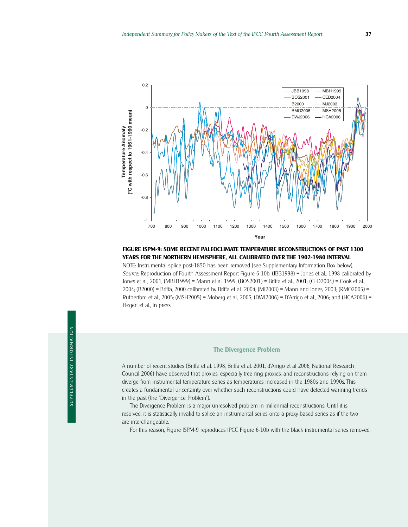

### **FIGURE ISPM-9: SOME RECENT PALEOCLIMATE TEMPERATURE RECONSTRUCTIONS OF PAST 1300 YEARS FOR THE NORTHERN HEMISPHERE, ALL CALIBRATED OVER THE 1902-1980 INTERVAL**

NOTE: Instrumental splice post-1850 has been removed (see Supplementary Information Box below). *Source:* Reproduction of Fourth Assessment Report Figure 6-10b. (JBB1998) = Jones et al., 1998 calibrated by Jones et al., 2001; (MBH1999) = Mann et al, 1999; (BOS2001) = Briffa et al., 2001; (CED2004) = Cook et al., 2004; (B2000) = Briffa, 2000 calibrated by Briffa et al., 2004; (MJ2003) = Mann and Jones, 2003; (RMO2005) = Rutherford et al., 2005; (MSH2005) = Moberg et al., 2005; (DWJ2006) = DíArrigo et al., 2006; and (HCA2006) = Hegerl et al., in press.

#### **The Divergence Problem**

A number of recent studies (Briffa et al. 1998, Briffa et al. 2001, díArrigo et al 2006, National Research Council 2006) have observed that proxies, especially tree ring proxies, and reconstructions relying on them diverge from instrumental temperature series as temperatures increased in the 1980s and 1990s. This creates a fundamental uncertainty over whether such reconstructions could have detected warming trends in the past (the "Divergence Problem").

The Divergence Problem is a major unresolved problem in millennial reconstructions. Until it is resolved, it is statistically invalid to splice an instrumental series onto a proxy-based series as if the two are interchangeable.

For this reason, Figure ISPM-9 reproduces IPCC Figure 6-10b with the black instrumental series removed.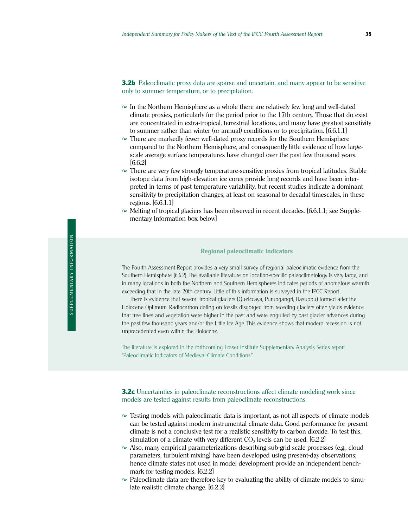**3.2b** Paleoclimatic proxy data are sparse and uncertain, and many appear to be sensitive only to summer temperature, or to precipitation.

- $\sim$  In the Northern Hemisphere as a whole there are relatively few long and well-dated climate proxies, particularly for the period prior to the 17th century. Those that do exist are concentrated in extra-tropical, terrestrial locations, and many have greatest sensitivity to summer rather than winter (or annual) conditions or to precipitation. [6.6.1.1]
- There are markedly fewer well-dated proxy records for the Southern Hemisphere compared to the Northern Hemisphere, and consequently little evidence of how largescale average surface temperatures have changed over the past few thousand years.  $[6.6.2]$
- There are very few strongly temperature-sensitive proxies from tropical latitudes. Stable isotope data from high-elevation ice cores provide long records and have been interpreted in terms of past temperature variability, but recent studies indicate a dominant sensitivity to precipitation changes, at least on seasonal to decadal timescales, in these regions. [6.6.1.1]
- $\sim$  Melting of tropical glaciers has been observed in recent decades. [6.6.1.1; see Supplementary Information box below]

#### **Regional paleoclimatic indicators**

The Fourth Assessment Report provides a very small survey of regional paleoclimatic evidence from the Southern Hemisphere [6.6.2]. The available literature on location-specific paleoclimatology is very large, and in many locations in both the Northern and Southern Hemispheres indicates periods of anomalous warmth exceeding that in the late 20th century. Little of this information is surveyed in the IPCC Report.

There is evidence that several tropical glaciers (Quelccaya, Puruogangri, Dasuopu) formed after the Holocene Optimum. Radiocarbon dating on fossils disgorged from receding glaciers often yields evidence that tree lines and vegetation were higher in the past and were engulfed by past glacier advances during the past few thousand years and/or the Little Ice Age. This evidence shows that modern recession is not unprecedented even within the Holocene.

The literature is explored in the forthcoming Fraser Institute Supplementary Analysis Series report, ìPaleoclimatic Indicators of Medieval Climate Conditions.î

**3.2c** Uncertainties in paleoclimate reconstructions affect climate modeling work since models are tested against results from paleoclimate reconstructions.

- Testing models with paleoclimatic data is important, as not all aspects of climate models can be tested against modern instrumental climate data. Good performance for present climate is not a conclusive test for a realistic sensitivity to carbon dioxide. To test this, simulation of a climate with very different  $CO<sub>2</sub>$  levels can be used. [6.2.2]
- Also, many empirical parameterizations describing sub-grid scale processes (e.g., cloud parameters, turbulent mixing) have been developed using present-day observations; hence climate states not used in model development provide an independent benchmark for testing models. [6.2.2]
- Paleoclimate data are therefore key to evaluating the ability of climate models to simulate realistic climate change. [6.2.2]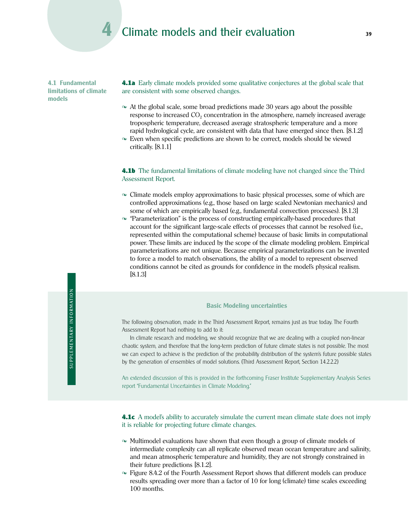# **4** Climate models and their evaluation **<sup>39</sup>**

**4.1 Fundamental limitations of climate models**

**4.1a** Early climate models provided some qualitative conjectures at the global scale that are consistent with some observed changes.

- $\sim$  At the global scale, some broad predictions made 30 years ago about the possible response to increased CO<sub>2</sub> concentration in the atmosphere, namely increased average tropospheric temperature, decreased average stratospheric temperature and a more rapid hydrological cycle, are consistent with data that have emerged since then. [8.1.2]
- Even when specific predictions are shown to be correct, models should be viewed critically. [8.1.1]

**4.1b** The fundamental limitations of climate modeling have not changed since the Third Assessment Report.

- Climate models employ approximations to basic physical processes, some of which are controlled approximations (e.g., those based on large scaled Newtonian mechanics) and some of which are empirically based (e.g., fundamental convection processes). [8.1.3]
- $\sim$  "Parameterization" is the process of constructing empirically-based procedures that account for the significant large-scale effects of processes that cannot be resolved (i.e., represented within the computational scheme) because of basic limits in computational power. These limits are induced by the scope of the climate modeling problem. Empirical parameterizations are not unique. Because empirical parameterizations can be invented to force a model to match observations, the ability of a model to represent observed conditions cannot be cited as grounds for confidence in the modelís physical realism. [8.1.3]

#### **Basic Modeling uncertainties**

The following observation, made in the Third Assessment Report, remains just as true today. The Fourth Assessment Report had nothing to add to it:

In climate research and modeling, we should recognize that we are dealing with a coupled non-linear chaotic system, and therefore that the long-term prediction of future climate states is not possible. The most we can expect to achieve is the prediction of the probability distribution of the systemís future possible states by the generation of ensembles of model solutions. (Third Assessment Report, Section 14.2.2.2)

An extended discussion of this is provided in the forthcoming Fraser Institute Supplementary Analysis Series report "Fundamental Uncertainties in Climate Modeling."

4.1c A model's ability to accurately simulate the current mean climate state does not imply it is reliable for projecting future climate changes.

- $\sim$  Multimodel evaluations have shown that even though a group of climate models of intermediate complexity can all replicate observed mean ocean temperature and salinity, and mean atmospheric temperature and humidity, they are not strongly constrained in their future predictions [8.1.2].
- Figure 8.4.2 of the Fourth Assessment Report shows that different models can produce results spreading over more than a factor of 10 for long (climate) time scales exceeding 100 months.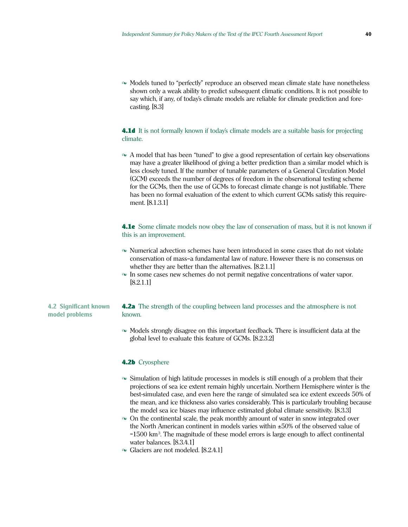$\sim$  Models tuned to "perfectly" reproduce an observed mean climate state have nonetheless shown only a weak ability to predict subsequent climatic conditions. It is not possible to say which, if any, of todayís climate models are reliable for climate prediction and forecasting. [8.3]

#### 4.1d It is not formally known if today's climate models are a suitable basis for projecting climate.

 $\sim$  A model that has been "tuned" to give a good representation of certain key observations may have a greater likelihood of giving a better prediction than a similar model which is less closely tuned. If the number of tunable parameters of a General Circulation Model (GCM) exceeds the number of degrees of freedom in the observational testing scheme for the GCMs, then the use of GCMs to forecast climate change is not justifiable. There has been no formal evaluation of the extent to which current GCMs satisfy this requirement. [8.1.3.1]

#### 4.1e Some climate models now obey the law of conservation of mass, but it is not known if this is an improvement.

- Numerical advection schemes have been introduced in some cases that do not violate conservation of mass-a fundamental law of nature. However there is no consensus on whether they are better than the alternatives. [8.2.1.1]
- In some cases new schemes do not permit negative concentrations of water vapor. [8.2.1.1]

**4.2 Significant known model problems**

#### **4.2a** The strength of the coupling between land processes and the atmosphere is not known.

 $\sim$  Models strongly disagree on this important feedback. There is insufficient data at the global level to evaluate this feature of GCMs. [8.2.3.2]

#### 4.2b Cryosphere

- $\sim$  Simulation of high latitude processes in models is still enough of a problem that their projections of sea ice extent remain highly uncertain. Northern Hemisphere winter is the best-simulated case, and even here the range of simulated sea ice extent exceeds 50% of the mean, and ice thickness also varies considerably. This is particularly troubling because the model sea ice biases may influence estimated global climate sensitivity. [8.3.3]
- $\sim$  On the continental scale, the peak monthly amount of water in snow integrated over the North American continent in models varies within ±50% of the observed value of ~1500 km<sup>3</sup>. The magnitude of these model errors is large enough to affect continental water balances. [8.3.4.1]
- Glaciers are not modeled. [8.2.4.1]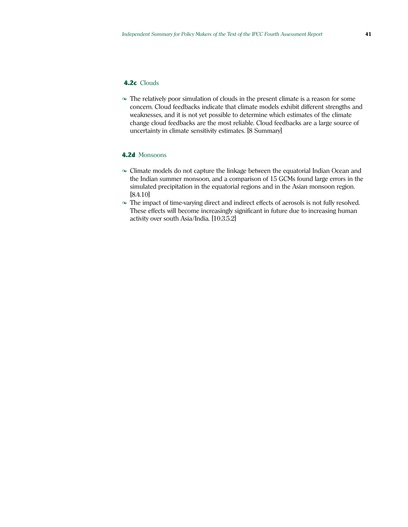#### 4.2c Clouds

 The relatively poor simulation of clouds in the present climate is a reason for some concern. Cloud feedbacks indicate that climate models exhibit different strengths and weaknesses, and it is not yet possible to determine which estimates of the climate change cloud feedbacks are the most reliable. Cloud feedbacks are a large source of uncertainty in climate sensitivity estimates. [8 Summary]

#### 4.2d Monsoons

- Climate models do not capture the linkage between the equatorial Indian Ocean and the Indian summer monsoon, and a comparison of 15 GCMs found large errors in the simulated precipitation in the equatorial regions and in the Asian monsoon region. [8.4.10]
- The impact of time-varying direct and indirect effects of aerosols is not fully resolved. These effects will become increasingly significant in future due to increasing human activity over south Asia/India. [10.3.5.2]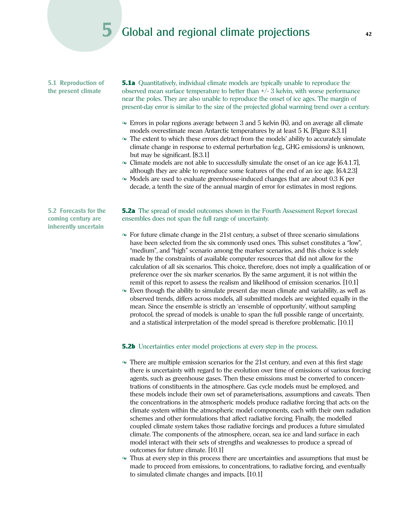## **5** Global and regional climate projections **<sup>42</sup>**

#### **5.1 Reproduction of the present climate**

**5.1a** Quantitatively, individual climate models are typically unable to reproduce the observed mean surface temperature to better than +/- 3 kelvin, with worse performance near the poles. They are also unable to reproduce the onset of ice ages. The margin of present-day error is similar to the size of the projected global warming trend over a century.

- $\sim$  Errors in polar regions average between 3 and 5 kelvin (K), and on average all climate models overestimate mean Antarctic temperatures by at least 5 K. [Figure 8.3.1]
- $\sim$  The extent to which these errors detract from the models' ability to accurately simulate climate change in response to external perturbation (e.g., GHG emissions) is unknown, but may be significant. [8.3.1]
- $\sim$  Climate models are not able to successfully simulate the onset of an ice age [6.4.1.7], although they are able to reproduce some features of the end of an ice age. [6.4.2.3]
- $\sim$  Models are used to evaluate greenhouse-induced changes that are about 0.3 K per decade, a tenth the size of the annual margin of error for estimates in most regions.

**5.2 Forecasts for the coming century are inherently uncertain**

**5.2a** The spread of model outcomes shown in the Fourth Assessment Report forecast ensembles does not span the full range of uncertainty.

- $\sim$  For future climate change in the 21st century, a subset of three scenario simulations have been selected from the six commonly used ones. This subset constitutes a "low", "medium", and "high" scenario among the marker scenarios, and this choice is solely made by the constraints of available computer resources that did not allow for the calculation of all six scenarios. This choice, therefore, does not imply a qualification of or preference over the six marker scenarios. By the same argument, it is not within the remit of this report to assess the realism and likelihood of emission scenarios. [10.1]
- $\sim$  Even though the ability to simulate present day mean climate and variability, as well as observed trends, differs across models, all submitted models are weighted equally in the mean. Since the ensemble is strictly an 'ensemble of opportunity', without sampling protocol, the spread of models is unable to span the full possible range of uncertainty, and a statistical interpretation of the model spread is therefore problematic. [10.1]

#### **5.2b** Uncertainties enter model projections at every step in the process.

- $\sim$  There are multiple emission scenarios for the 21st century, and even at this first stage there is uncertainty with regard to the evolution over time of emissions of various forcing agents, such as greenhouse gases. Then these emissions must be converted to concentrations of constituents in the atmosphere. Gas cycle models must be employed, and these models include their own set of parameterisations, assumptions and caveats. Then the concentrations in the atmospheric models produce radiative forcing that acts on the climate system within the atmospheric model components, each with their own radiation schemes and other formulations that affect radiative forcing. Finally, the modelled coupled climate system takes those radiative forcings and produces a future simulated climate. The components of the atmosphere, ocean, sea ice and land surface in each model interact with their sets of strengths and weaknesses to produce a spread of outcomes for future climate. [10.1]
- Thus at every step in this process there are uncertainties and assumptions that must be made to proceed from emissions, to concentrations, to radiative forcing, and eventually to simulated climate changes and impacts. [10.1]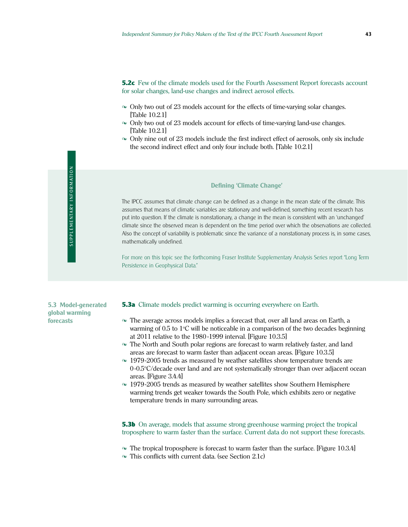**5.2c** Few of the climate models used for the Fourth Assessment Report forecasts account for solar changes, land-use changes and indirect aerosol effects.

- $\sim$  Only two out of 23 models account for the effects of time-varying solar changes. [Table 10.2.1]
- $\sim$  Only two out of 23 models account for effects of time-varying land-use changes. [Table 10.2.1]
- Only nine out of 23 models include the first indirect effect of aerosols, only six include the second indirect effect and only four include both. [Table 10.2.1]

#### **Defining 'Climate Change'**

The IPCC assumes that climate change can be defined as a change in the mean state of the climate. This assumes that means of climatic variables are stationary and well-defined, something recent research has put into question. If the climate is nonstationary, a change in the mean is consistent with an 'unchanged' climate since the observed mean is dependent on the time period over which the observations are collected. Also the concept of variability is problematic since the variance of a nonstationary process is, in some cases, mathematically undefined.

For more on this topic see the forthcoming Fraser Institute Supplementary Analysis Series report "Long Term" Persistence in Geophysical Data."

**5.3 Model-generated global warming forecasts**

**5.3a** Climate models predict warming is occurring everywhere on Earth.

- The average across models implies a forecast that, over all land areas on Earth, a warming of 0.5 to  $1^{\circ}\textrm{C}$  will be noticeable in a comparison of the two decades beginning at 2011 relative to the 1980-1999 interval. [Figure 10.3.5]
- The North and South polar regions are forecast to warm relatively faster, and land areas are forecast to warm faster than adjacent ocean areas. [Figure 10.3.5]
- 1979-2005 trends as measured by weather satellites show temperature trends are 0-0.5°C/decade over land and are not systematically stronger than over adjacent ocean areas. [Figure 3.4.4]
- 1979-2005 trends as measured by weather satellites show Southern Hemisphere warming trends get weaker towards the South Pole, which exhibits zero or negative temperature trends in many surrounding areas.

**5.3b** On average, models that assume strong greenhouse warming project the tropical troposphere to warm faster than the surface. Current data do not support these forecasts.

- $\sim$  The tropical troposphere is forecast to warm faster than the surface. [Figure 10.3.4]
- $\sim$  This conflicts with current data. (see Section 2.1c)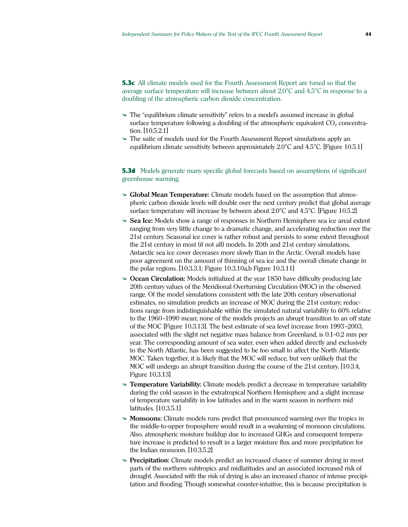**5.3c** All climate models used for the Fourth Assessment Report are tuned so that the average surface temperature will increase between about 2.0°C and 4.5°C in response to a doubling of the atmospheric carbon dioxide concentration.

- $\sim$  The "equilibrium climate sensitivity" refers to a model's assumed increase in global surface temperature following a doubling of the atmospheric equivalent  $CO<sub>2</sub>$  concentration. [10.5.2.1]
- The suite of models used for the Fourth Assessment Report simulations apply an equilibrium climate sensitivity between approximately 2.0**°**C and 4.5°C. [Figure 10.5.1]

**5.3d** Models generate many specific global forecasts based on assumptions of significant greenhouse warming.

- **Global Mean Temperature:** Climate models based on the assumption that atmospheric carbon dioxide levels will double over the next century predict that global average surface temperature will increase by between about 2.0**°**C and 4.5°C. [Figure 10.5.2]
- **Sea Ice:** Models show a range of responses in Northern Hemisphere sea ice areal extent ranging from very little change to a dramatic change, and accelerating reduction over the 21st century. Seasonal ice cover is rather robust and persists to some extent throughout the 21st century in most (if not all) models. In 20th and 21st century simulations, Antarctic sea ice cover decreases more slowly than in the Arctic. Overall models have poor agreement on the amount of thinning of sea ice and the overall climate change in the polar regions. [10.3.3.1; Figure 10.3.10a,b Figure 10.3.11]
- **Ocean Circulation:** Models initialized at the year 1850 have difficulty producing late 20th century values of the Meridional Overturning Circulation (MOC) in the observed range. Of the model simulations consistent with the late 20th century observational estimates, no simulation predicts an increase of MOC during the 21st century; reductions range from indistinguishable within the simulated natural variability to 60% relative to the 1960-1990 mean; none of the models projects an abrupt transition to an off state of the MOC [Figure 10.3.13]. The best estimate of sea level increase from  $1993-2003$ , associated with the slight net negative mass balance from Greenland, is  $0.1-0.2$  mm per year. The corresponding amount of sea water, even when added directly and exclusively to the North Atlantic, has been suggested to be too small to affect the North Atlantic MOC. Taken together, it is likely that the MOC will reduce, but very unlikely that the MOC will undergo an abrupt transition during the course of the 21st century. [10.3.4, Figure 10.3.13]
- **Temperature Variability:** Climate models predict a decrease in temperature variability during the cold season in the extratropical Northern Hemisphere and a slight increase of temperature variability in low latitudes and in the warm season in northern mid latitudes. [10.3.5.1]
- **Monsoons:** Climate models runs predict that pronounced warming over the tropics in the middle-to-upper troposphere would result in a weakening of monsoon circulations. Also, atmospheric moisture buildup due to increased GHGs and consequent temperature increase is predicted to result in a larger moisture flux and more precipitation for the Indian monsoon. [10.3.5.2]
- **Precipitation:** Climate models predict an increased chance of summer drying in most parts of the northern subtropics and midlatitudes and an associated increased risk of drought. Associated with the risk of drying is also an increased chance of intense precipitation and flooding. Though somewhat counter-intuitive, this is because precipitation is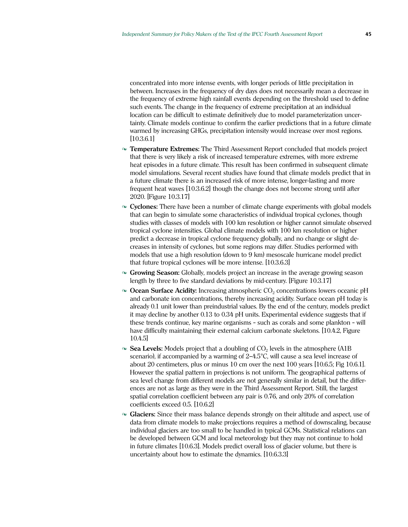concentrated into more intense events, with longer periods of little precipitation in between. Increases in the frequency of dry days does not necessarily mean a decrease in the frequency of extreme high rainfall events depending on the threshold used to define such events. The change in the frequency of extreme precipitation at an individual location can be difficult to estimate definitively due to model parameterization uncertainty. Climate models continue to confirm the earlier predictions that in a future climate warmed by increasing GHGs, precipitation intensity would increase over most regions. [10.3.6.1]

- **Temperature Extremes:** The Third Assessment Report concluded that models project that there is very likely a risk of increased temperature extremes, with more extreme heat episodes in a future climate. This result has been confirmed in subsequent climate model simulations. Several recent studies have found that climate models predict that in a future climate there is an increased risk of more intense, longer-lasting and more frequent heat waves [10.3.6.2] though the change does not become strong until after 2020. [Figure 10.3.17]
- **Cyclones:** There have been a number of climate change experiments with global models that can begin to simulate some characteristics of individual tropical cyclones, though studies with classes of models with 100 km resolution or higher cannot simulate observed tropical cyclone intensities. Global climate models with 100 km resolution or higher predict a decrease in tropical cyclone frequency globally, and no change or slight decreases in intensity of cyclones, but some regions may differ. Studies performed with models that use a high resolution (down to 9 km) mesoscale hurricane model predict that future tropical cyclones will be more intense. [10.3.6.3]
- **Growing Season:** Globally, models project an increase in the average growing season length by three to five standard deviations by mid-century. [Figure 10.3.17]
- **Ocean Surface Acidity:** Increasing atmospheric CO<sub>2</sub> concentrations lowers oceanic pH and carbonate ion concentrations, thereby increasing acidity. Surface ocean pH today is already 0.1 unit lower than preindustrial values. By the end of the century, models predict it may decline by another 0.13 to 0.34 pH units. Experimental evidence suggests that if these trends continue, key marine organisms - such as corals and some plankton - will have difficulty maintaining their external calcium carbonate skeletons. [10.4.2, Figure 10.4.5]
- Sea Levels: Models project that a doubling of CO<sub>2</sub> levels in the atmosphere (A1B scenario), if accompanied by a warming of  $2-4.5^{\circ}$ C, will cause a sea level increase of about 20 centimeters, plus or minus 10 cm over the next 100 years [10.6.5; Fig 10.6.1]. However the spatial pattern in projections is not uniform. The geographical patterns of sea level change from different models are not generally similar in detail, but the differences are not as large as they were in the Third Assessment Report. Still, the largest spatial correlation coefficient between any pair is 0.76, and only 20% of correlation coefficients exceed 0.5. [10.6.2]
- **Glaciers:** Since their mass balance depends strongly on their altitude and aspect, use of data from climate models to make projections requires a method of downscaling, because individual glaciers are too small to be handled in typical GCMs. Statistical relations can be developed between GCM and local meteorology but they may not continue to hold in future climates [10.6.3]. Models predict overall loss of glacier volume, but there is uncertainty about how to estimate the dynamics. [10.6.3.3]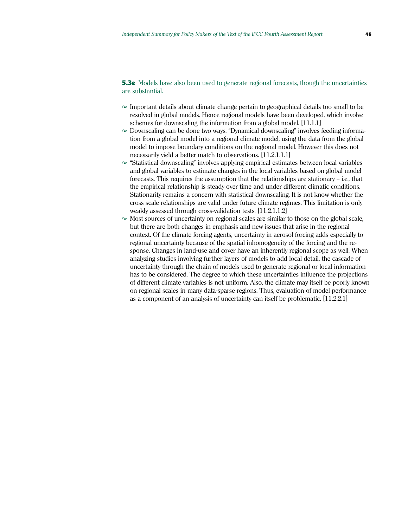**5.3e** Models have also been used to generate regional forecasts, though the uncertainties are substantial.

- Important details about climate change pertain to geographical details too small to be resolved in global models. Hence regional models have been developed, which involve schemes for downscaling the information from a global model. [11.1.1]
- $\sim$  Downscaling can be done two ways. "Dynamical downscaling" involves feeding information from a global model into a regional climate model, using the data from the global model to impose boundary conditions on the regional model. However this does not necessarily yield a better match to observations. [11.2.1.1.1]
- $\sim$  "Statistical downscaling" involves applying empirical estimates between local variables and global variables to estimate changes in the local variables based on global model forecasts. This requires the assumption that the relationships are stationary  $-$  i.e., that the empirical relationship is steady over time and under different climatic conditions. Stationarity remains a concern with statistical downscaling. It is not know whether the cross scale relationships are valid under future climate regimes. This limitation is only weakly assessed through cross-validation tests. [11.2.1.1.2]
- $\sim$  Most sources of uncertainty on regional scales are similar to those on the global scale, but there are both changes in emphasis and new issues that arise in the regional context. Of the climate forcing agents, uncertainty in aerosol forcing adds especially to regional uncertainty because of the spatial inhomogeneity of the forcing and the response. Changes in land-use and cover have an inherently regional scope as well. When analyzing studies involving further layers of models to add local detail, the cascade of uncertainty through the chain of models used to generate regional or local information has to be considered. The degree to which these uncertainties influence the projections of different climate variables is not uniform. Also, the climate may itself be poorly known on regional scales in many data-sparse regions. Thus, evaluation of model performance as a component of an analysis of uncertainty can itself be problematic. [11.2.2.1]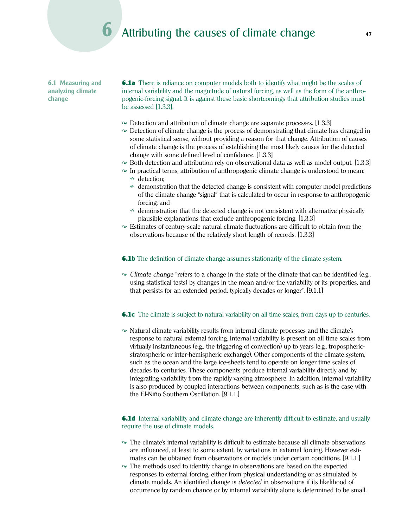### **6** Attributing the causes of climate change **<sup>47</sup>**

**6.1 Measuring and analyzing climate change**

**6.1a** There is reliance on computer models both to identify what might be the scales of internal variability and the magnitude of natural forcing, as well as the form of the anthropogenic-forcing signal. It is against these basic shortcomings that attribution studies must be assessed [1.3.3].

- Detection and attribution of climate change are separate processes. [1.3.3]
- Detection of climate change is the process of demonstrating that climate has changed in some statistical sense, without providing a reason for that change. Attribution of causes of climate change is the process of establishing the most likely causes for the detected change with some defined level of confidence. [1.3.3]
- $\sim$  Both detection and attribution rely on observational data as well as model output. [1.3.3]
- $\sim$  In practical terms, attribution of anthropogenic climate change is understood to mean:  $\div$  detection;
	- $\textcolor{black}{\div}$  demonstration that the detected change is consistent with computer model predictions of the climate change "signal" that is calculated to occur in response to anthropogenic forcing; and
	- $\textcolor{black}{\div}$  demonstration that the detected change is not consistent with alternative physically plausible explanations that exclude anthropogenic forcing. [1.3.3]
- Estimates of century-scale natural climate fluctuations are difficult to obtain from the observations because of the relatively short length of records. [1.3.3]

#### **6.1b** The definition of climate change assumes stationarity of the climate system.

*© Climate change "refers to a change in the state of the climate that can be identified (e.g.,* using statistical tests) by changes in the mean and/or the variability of its properties, and that persists for an extended period, typically decades or longer". [9.1.1]

#### **6.1c** The climate is subject to natural variability on all time scales, from days up to centuries.

 $\sim$  Natural climate variability results from internal climate processes and the climate's response to natural external forcing. Internal variability is present on all time scales from virtually instantaneous (e.g., the triggering of convection) up to years (e.g., troposphericstratospheric or inter-hemispheric exchange). Other components of the climate system, such as the ocean and the large ice-sheets tend to operate on longer time scales of decades to centuries. These components produce internal variability directly and by integrating variability from the rapidly varying atmosphere. In addition, internal variability is also produced by coupled interactions between components, such as is the case with the El-Niño Southern Oscillation. [9.1.1.]

#### **6.1d** Internal variability and climate change are inherently difficult to estimate, and usually require the use of climate models.

- $\sim$  The climate's internal variability is difficult to estimate because all climate observations are influenced, at least to some extent, by variations in external forcing. However estimates can be obtained from observations or models under certain conditions. [9.1.1.]
- The methods used to identify change in observations are based on the expected responses to external forcing, either from physical understanding or as simulated by climate models. An identified change is *detected* in observations if its likelihood of occurrence by random chance or by internal variability alone is determined to be small.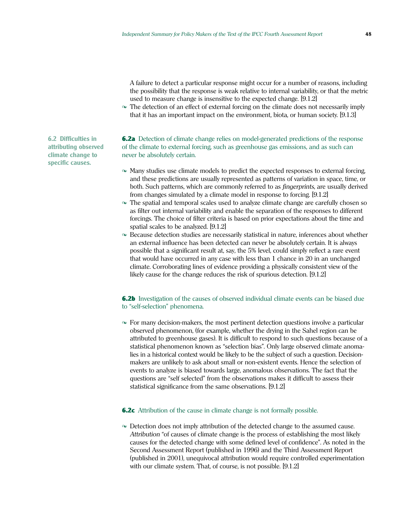A failure to detect a particular response might occur for a number of reasons, including the possibility that the response is weak relative to internal variability, or that the metric used to measure change is insensitive to the expected change. [9.1.2]

• The detection of an effect of external forcing on the climate does not necessarily imply that it has an important impact on the environment, biota, or human society. [9.1.3]

**6.2a** Detection of climate change relies on model-generated predictions of the response of the climate to external forcing, such as greenhouse gas emissions, and as such can never be absolutely certain.

- $\sim$  Many studies use climate models to predict the expected responses to external forcing, and these predictions are usually represented as patterns of variation in space, time, or both. Such patterns, which are commonly referred to as *fingerprints*, are usually derived from changes simulated by a climate model in response to forcing. [9.1.2]
- The spatial and temporal scales used to analyze climate change are carefully chosen so as filter out internal variability and enable the separation of the responses to different forcings. The choice of filter criteria is based on prior expectations about the time and spatial scales to be analyzed. [9.1.2]
- Because detection studies are necessarily statistical in nature, inferences about whether an external influence has been detected can never be absolutely certain. It is always possible that a significant result at, say, the 5% level, could simply reflect a rare event that would have occurred in any case with less than 1 chance in 20 in an unchanged climate. Corroborating lines of evidence providing a physically consistent view of the likely cause for the change reduces the risk of spurious detection. [9.1.2]

#### **6.2b** Investigation of the causes of observed individual climate events can be biased due to "self-selection" phenomena.

 $\sim$  For many decision-makers, the most pertinent detection questions involve a particular observed phenomenon, (for example, whether the drying in the Sahel region can be attributed to greenhouse gases). It is difficult to respond to such questions because of a statistical phenomenon known as "selection bias". Only large observed climate anomalies in a historical context would be likely to be the subject of such a question. Decisionmakers are unlikely to ask about small or non-existent events. Hence the selection of events to analyze is biased towards large, anomalous observations. The fact that the questions are "self selected" from the observations makes it difficult to assess their statistical significance from the same observations. [9.1.2]

#### **6.2c** Attribution of the cause in climate change is not formally possible.

 Detection does not imply attribution of the detected change to the assumed cause. Attribution "of causes of climate change is the process of establishing the most likely causes for the detected change with some defined level of confidenceî. As noted in the Second Assessment Report (published in 1996) and the Third Assessment Report (published in 2001), unequivocal attribution would require controlled experimentation with our climate system. That, of course, is not possible. [9.1.2]

**6.2 Difficulties in attributing observed climate change to specific causes.**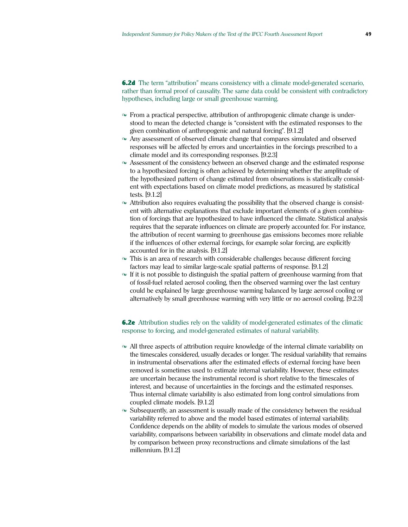**6.2d** The term "attribution" means consistency with a climate model-generated scenario, rather than formal proof of causality. The same data could be consistent with contradictory hypotheses, including large or small greenhouse warming.

- From a practical perspective, attribution of anthropogenic climate change is understood to mean the detected change is "consistent with the estimated responses to the given combination of anthropogenic and natural forcingî. [9.1.2]
- Any assessment of observed climate change that compares simulated and observed responses will be affected by errors and uncertainties in the forcings prescribed to a climate model and its corresponding responses. [9.2.3]
- Assessment of the consistency between an observed change and the estimated response to a hypothesized forcing is often achieved by determining whether the amplitude of the hypothesized pattern of change estimated from observations is statistically consistent with expectations based on climate model predictions, as measured by statistical tests. [9.1.2]
- $\sim$  Attribution also requires evaluating the possibility that the observed change is consistent with alternative explanations that exclude important elements of a given combination of forcings that are hypothesized to have influenced the climate. Statistical analysis requires that the separate influences on climate are properly accounted for. For instance, the attribution of recent warming to greenhouse gas emissions becomes more reliable if the influences of other external forcings, for example solar forcing, are explicitly accounted for in the analysis. [9.1.2]
- This is an area of research with considerable challenges because different forcing factors may lead to similar large-scale spatial patterns of response. [9.1.2]
- $\sim$  If it is not possible to distinguish the spatial pattern of greenhouse warming from that of fossil-fuel related aerosol cooling, then the observed warming over the last century could be explained by large greenhouse warming balanced by large aerosol cooling or alternatively by small greenhouse warming with very little or no aerosol cooling. [9.2.3]

#### **6.2e** Attribution studies rely on the validity of model-generated estimates of the climatic response to forcing, and model-generated estimates of natural variability.

- All three aspects of attribution require knowledge of the internal climate variability on the timescales considered, usually decades or longer. The residual variability that remains in instrumental observations after the estimated effects of external forcing have been removed is sometimes used to estimate internal variability. However, these estimates are uncertain because the instrumental record is short relative to the timescales of interest, and because of uncertainties in the forcings and the estimated responses. Thus internal climate variability is also estimated from long control simulations from coupled climate models. [9.1.2]
- $\sim$  Subsequently, an assessment is usually made of the consistency between the residual variability referred to above and the model based estimates of internal variability. Confidence depends on the ability of models to simulate the various modes of observed variability, comparisons between variability in observations and climate model data and by comparison between proxy reconstructions and climate simulations of the last millennium. [9.1.2]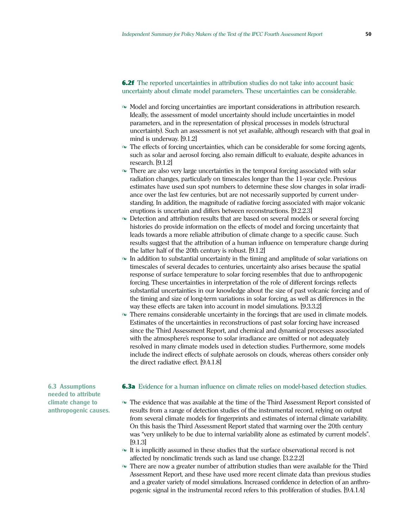**6.2f** The reported uncertainties in attribution studies do not take into account basic uncertainty about climate model parameters. These uncertainties can be considerable.

- $\sim$  Model and forcing uncertainties are important considerations in attribution research. Ideally, the assessment of model uncertainty should include uncertainties in model parameters, and in the representation of physical processes in models (structural uncertainty). Such an assessment is not yet available, although research with that goal in mind is underway. [9.1.2]
- $\sim$  The effects of forcing uncertainties, which can be considerable for some forcing agents, such as solar and aerosol forcing, also remain difficult to evaluate, despite advances in research. [9.1.2]
- There are also very large uncertainties in the temporal forcing associated with solar radiation changes, particularly on timescales longer than the 11-year cycle. Previous estimates have used sun spot numbers to determine these slow changes in solar irradiance over the last few centuries, but are not necessarily supported by current understanding. In addition, the magnitude of radiative forcing associated with major volcanic eruptions is uncertain and differs between reconstructions. [9.2.2.3]
- Detection and attribution results that are based on several models or several forcing histories do provide information on the effects of model and forcing uncertainty that leads towards a more reliable attribution of climate change to a specific cause. Such results suggest that the attribution of a human influence on temperature change during the latter half of the 20th century is robust. [9.1.2]
- $\sim$  In addition to substantial uncertainty in the timing and amplitude of solar variations on timescales of several decades to centuries, uncertainty also arises because the spatial response of surface temperature to solar forcing resembles that due to anthropogenic forcing. These uncertainties in interpretation of the role of different forcings reflects substantial uncertainties in our knowledge about the size of past volcanic forcing and of the timing and size of long-term variations in solar forcing, as well as differences in the way these effects are taken into account in model simulations. [9.3.3.2]
- There remains considerable uncertainty in the forcings that are used in climate models. Estimates of the uncertainties in reconstructions of past solar forcing have increased since the Third Assessment Report, and chemical and dynamical processes associated with the atmosphere's response to solar irradiance are omitted or not adequately resolved in many climate models used in detection studies. Furthermore, some models include the indirect effects of sulphate aerosols on clouds, whereas others consider only the direct radiative effect. [9.4.1.8]

#### **6.3a** Evidence for a human influence on climate relies on model-based detection studies.

- The evidence that was available at the time of the Third Assessment Report consisted of results from a range of detection studies of the instrumental record, relying on output from several climate models for fingerprints and estimates of internal climate variability. On this basis the Third Assessment Report stated that warming over the 20th century was "very unlikely to be due to internal variability alone as estimated by current models". [9.1.3]
- $\sim$  It is implicitly assumed in these studies that the surface observational record is not affected by nonclimatic trends such as land use change. [3.2.2.2]
- There are now a greater number of attribution studies than were available for the Third Assessment Report, and these have used more recent climate data than previous studies and a greater variety of model simulations. Increased confidence in detection of an anthropogenic signal in the instrumental record refers to this proliferation of studies. [9.4.1.4]

**6.3 Assumptions needed to attribute climate change to anthropogenic causes.**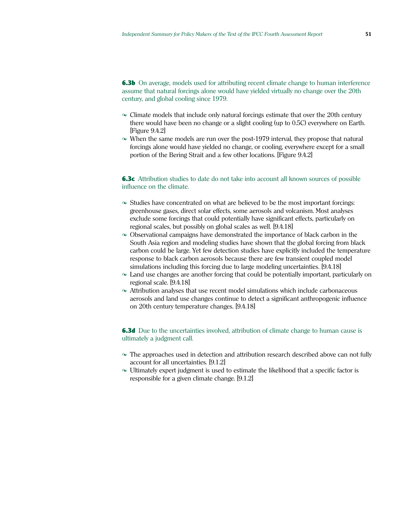**6.3b** On average, models used for attributing recent climate change to human interference assume that natural forcings alone would have yielded virtually no change over the 20th century, and global cooling since 1979.

- $\sim$  Climate models that include only natural forcings estimate that over the 20th century there would have been no change or a slight cooling (up to 0.5C) everywhere on Earth. [Figure 9.4.2]
- When the same models are run over the post-1979 interval, they propose that natural forcings alone would have yielded no change, or cooling, everywhere except for a small portion of the Bering Strait and a few other locations. [Figure 9.4.2]

#### **6.3c** Attribution studies to date do not take into account all known sources of possible influence on the climate.

- $\sim$  Studies have concentrated on what are believed to be the most important forcings: greenhouse gases, direct solar effects, some aerosols and volcanism. Most analyses exclude some forcings that could potentially have significant effects, particularly on regional scales, but possibly on global scales as well. [9.4.18]
- Observational campaigns have demonstrated the importance of black carbon in the South Asia region and modeling studies have shown that the global forcing from black carbon could be large. Yet few detection studies have explicitly included the temperature response to black carbon aerosols because there are few transient coupled model simulations including this forcing due to large modeling uncertainties. [9.4.18]
- Land use changes are another forcing that could be potentially important, particularly on regional scale. [9.4.18]
- Attribution analyses that use recent model simulations which include carbonaceous aerosols and land use changes continue to detect a significant anthropogenic influence on 20th century temperature changes. [9.4.18]

#### **6.3d** Due to the uncertainties involved, attribution of climate change to human cause is ultimately a judgment call.

- The approaches used in detection and attribution research described above can not fully account for all uncertainties. [9.1.2]
- Ultimately expert judgment is used to estimate the likelihood that a specific factor is responsible for a given climate change. [9.1.2]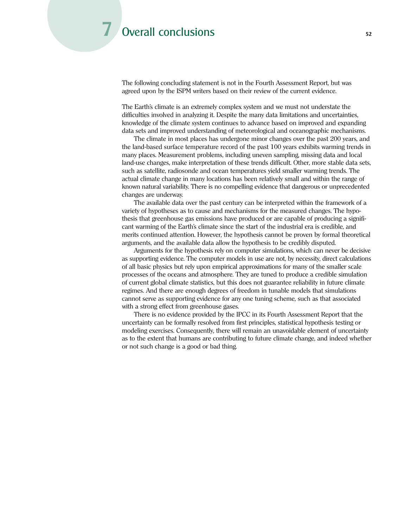# *D***verall conclusions <b>52**

The following concluding statement is not in the Fourth Assessment Report, but was agreed upon by the ISPM writers based on their review of the current evidence.

The Earthís climate is an extremely complex system and we must not understate the difficulties involved in analyzing it. Despite the many data limitations and uncertainties, knowledge of the climate system continues to advance based on improved and expanding data sets and improved understanding of meteorological and oceanographic mechanisms.

The climate in most places has undergone minor changes over the past 200 years, and the land-based surface temperature record of the past 100 years exhibits warming trends in many places. Measurement problems, including uneven sampling, missing data and local land-use changes, make interpretation of these trends difficult. Other, more stable data sets, such as satellite, radiosonde and ocean temperatures yield smaller warming trends. The actual climate change in many locations has been relatively small and within the range of known natural variability. There is no compelling evidence that dangerous or unprecedented changes are underway.

The available data over the past century can be interpreted within the framework of a variety of hypotheses as to cause and mechanisms for the measured changes. The hypothesis that greenhouse gas emissions have produced or are capable of producing a significant warming of the Earthís climate since the start of the industrial era is credible, and merits continued attention. However, the hypothesis cannot be proven by formal theoretical arguments, and the available data allow the hypothesis to be credibly disputed.

Arguments for the hypothesis rely on computer simulations, which can never be decisive as supporting evidence. The computer models in use are not, by necessity, direct calculations of all basic physics but rely upon empirical approximations for many of the smaller scale processes of the oceans and atmosphere. They are tuned to produce a credible simulation of current global climate statistics, but this does not guarantee reliability in future climate regimes. And there are enough degrees of freedom in tunable models that simulations cannot serve as supporting evidence for any one tuning scheme, such as that associated with a strong effect from greenhouse gases.

There is no evidence provided by the IPCC in its Fourth Assessment Report that the uncertainty can be formally resolved from first principles, statistical hypothesis testing or modeling exercises. Consequently, there will remain an unavoidable element of uncertainty as to the extent that humans are contributing to future climate change, and indeed whether or not such change is a good or bad thing.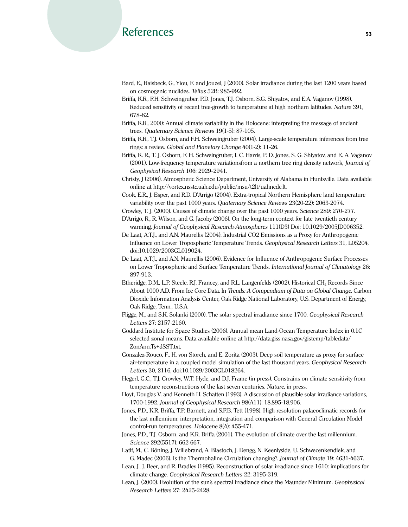### References 53

- Bard, E., Raisbeck, G., Yiou, F. and Jouzel, J (2000). Solar irradiance during the last 1200 years based on cosmogenic nuclides. *Tellus* 52B: 985-992*.*
- Briffa, K.R., F.H. Schweingruber, P.D. Jones, T.J. Osborn, S.G. Shiyatov, and E.A. Vaganov (1998). Reduced sensitivity of recent tree-growth to temperature at high northern latitudes. *Nature* 391, 678-82.
- Briffa, K.R., 2000: Annual climate variability in the Holocene: interpreting the message of ancient trees. *Quaternary Science Reviews* 19(1-5): 87-105.
- Briffa, K.R., T.J. Osborn, and F.H. Schweingruber (2004). Large-scale temperature inferences from tree rings: a review. *Global and Planetary Change* 40(1-2): 11-26.
- Briffa, K. R., T. J. Osborn, F. H. Schweingruber, I. C. Harris, P. D. Jones, S. G. Shiyatov, and E. A. Vaganov (2001). Low-frequency temperature variationsfrom a northern tree ring density network, *Journal of Geophysical Research 106: 2929-2941.*
- Christy, J (2006). Atmospheric Science Department, University of Alabama in Huntsville. Data available online at http://vortex.nsstc.uah.edu/public/msu/t2lt/uahncdc.lt.
- Cook, E.R., J. Esper, and R.D. DíArrigo (2004). Extra-tropical Northern Hemisphere land temperature variability over the past 1000 years. *Quaternary Science Reviews* 23(20-22): 2063-2074.

Crowley, T. J. (2000). Causes of climate change over the past 1000 years. *Science* 289: 270-277.

- DíArrigo, R., R. Wilson, and G. Jacoby (2006). On the long-term context for late twentieth century warming. *Journal of Geophysical Research-Atmospheres* 111(D3) Doi: 10.1029/2005JD006352.
- De Laat, A.T.J., and A.N. Maurellis (2004). Industrial CO2 Emissions as a Proxy for Anthropogenic Influence on Lower Tropospheric Temperature Trends. *Geophysical Research Letters* 31, L05204, doi:10.1029/2003GL019024.
- De Laat, A.T.J., and A.N. Maurellis (2006). Evidence for Influence of Anthropogenic Surface Processes on Lower Tropospheric and Surface Temperature Trends. *International Journal of Climatology* 26: 897-913.
- Etheridge, D.M., L.P. Steele, R.J. Francey, and R.L. Langenfelds (2002). Historical CH<sub>4</sub> Records Since About 1000 A.D. From Ice Core Data. In *Trends: A Compendium of Data on Global Change.* Carbon Dioxide Information Analysis Center, Oak Ridge National Laboratory, U.S. Department of Energy, Oak Ridge, Tenn., U.S.A.
- Fligge, M., and S.K. Solanki (2000). The solar spectral irradiance since 1700. *Geophysical Research Letters* 27: 2157-2160.
- Goddard Institute for Space Studies (2006). Annual mean Land-Ocean Temperature Index in 0.1C selected zonal means. Data available online at http://data.giss.nasa.gov/gistemp/tabledata/ ZonAnn.Ts+dSST.txt.
- Gonzalez-Rouco, F., H. von Storch, and E. Zorita (2003). Deep soil temperature as proxy for surface air-temperature in a coupled model simulation of the last thousand years. *Geophysical Research Letters* 30, 2116, doi:10.1029/2003GL018264.
- Hegerl, G.C., T.J. Crowley, W.T. Hyde, and D.J. Frame (in press). Constrains on climate sensitivity from temperature reconstructions of the last seven centuries. *Nature,* in press.
- Hoyt, Douglas V. and Kenneth H. Schatten (1993). A discussion of plausible solar irradiance variations, 1700-1992. *Journal of Geophysical Research* 98(A11): 18,895-18,906.
- Jones, P.D., K.R. Briffa, T.P. Barnett, and S.F.B. Tett (1998). High-resolution palaeoclimatic records for the last millennium: interpretation, integration and comparison with General Circulation Model control-run temperatures. *Holocene* 8(4): 455-471.
- Jones, P.D., T.J. Osborn, and K.R. Briffa (2001). The evolution of climate over the last millennium. *Science* 292(5517): 662-667.
- Latif, M., C. Böning, J. Willebrand, A. Biastoch, J. Dengg, N. Keenlyside, U. Schwecenkendiek, and G. Madec (2006). Is the Thermohaline Circulation changing?. *Journal of Climate* 19: 4631-4637.
- Lean, J., J. Beer, and R. Bradley (1995). Reconstruction of solar irradiance since 1610: implications for climate change. *Geophysical Research Letters* 22: 3195-319.
- Lean, J. (2000). Evolution of the sunís spectral irradiance since the Maunder Minimum. *Geophysical Research Letters* 27: 2425-2428.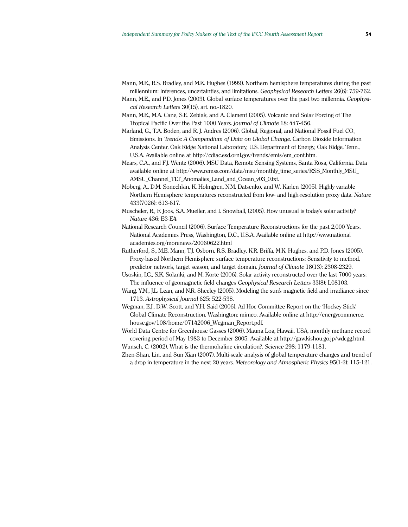- Mann, M.E., R.S. Bradley, and M.K. Hughes (1999). Northern hemisphere temperatures during the past millennium: Inferences, uncertainties, and limitations. *Geophysical Research Letters* 26(6): 759-762*.*
- Mann, M.E., and P.D. Jones (2003). Global surface temperatures over the past two millennia. *Geophysical Research Letters* 30(15), art. no.-1820.
- Mann, M.E., M.A. Cane, S.E. Zebiak, and A. Clement (2005). Volcanic and Solar Forcing of The Tropical Pacific Over the Past 1000 Years. *Journal of Climate* 18: 447-456.
- Marland, G., T.A. Boden, and R. J. Andres (2006). Global, Regional, and National Fossil Fuel  $CO<sub>2</sub>$ Emissions. In *Trends: A Compendium of Data on Global Change*. Carbon Dioxide Information Analysis Center, Oak Ridge National Laboratory, U.S. Department of Energy, Oak Ridge, Tenn., U.S.A. Available online at http://cdiac.esd.ornl.gov/trends/emis/em\_cont.htm.
- Mears, C.A., and F.J. Wentz (2006). MSU Data, Remote Sensing Systems, Santa Rosa, California. Data available online at http://www.remss.com/data/msu/monthly\_time\_series/RSS\_Monthly\_MSU\_ AMSU\_Channel\_TLT\_Anomalies\_Land\_and\_Ocean\_v03\_0.txt.
- Moberg, A., D.M. Sonechkin, K. Holmgren, N.M. Datsenko, and W. Karlen (2005). Highly variable Northern Hemisphere temperatures reconstructed from low- and high-resolution proxy data. *Nature* 433(7026): 613-617.
- Muscheler, R., F. Joos, S.A. Mueller, and I. Snowball, (2005). How unusual is today's solar activity? *Nature* 436: E3-E4.
- National Research Council (2006). Surface Temperature Reconstructions for the past 2,000 Years. National Academies Press, Washington, D.C., U.S.A. Available online at http://www.national academies.org/morenews/20060622.html
- Rutherford, S., M.E. Mann, T.J. Osborn, R.S. Bradley, K.R. Briffa, M.K. Hughes, and P.D. Jones (2005). Proxy-based Northern Hemisphere surface temperature reconstructions: Sensitivity to method, predictor network, target season, and target domain. *Journal of Climate* 18(13): 2308-2329.
- Usoskin, I.G., S.K. Solanki, and M. Korte (2006). Solar activity reconstructed over the last 7000 years: The influence of geomagnetic field changes *Geophysical Research Letters* 33(8): L08103.
- Wang, Y.M., J.L. Lean, and N.R. Sheeley (2005). Modeling the sunís magnetic field and irradiance since 1713. *Astrophysical Journal* 625: 522-538.
- Wegman, E.J., D.W. Scott, and Y.H. Said (2006). Ad Hoc Committee Report on the 'Hockey Stick' Global Climate Reconstruction. Washington: mimeo. Available online at http://energycommerce. house.gov/108/home/07142006\_Wegman\_Report.pdf.

World Data Centre for Greenhouse Gasses (2006). Mauna Loa, Hawaii, USA, monthly methane record covering period of May 1983 to December 2005. Available at http://gaw.kishou.go.jp/wdcgg.html.

- Wunsch, C. (2002). What is the thermohaline circulation?. *Science* 298: 1179-1181.
- Zhen-Shan, Lin, and Sun Xian (2007). Multi-scale analysis of global temperature changes and trend of a drop in temperature in the next 20 years. *Meteorology and Atmospheric Physics* 95(1-2): 115-121.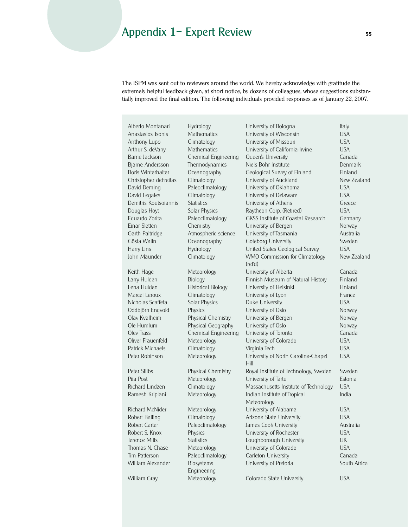# Appendix 1<sup>-</sup> Expert Review 55

The ISPM was sent out to reviewers around the world. We hereby acknowledge with gratitude the extremely helpful feedback given, at short notice, by dozens of colleagues, whose suggestions substantially improved the final edition. The following individuals provided responses as of January 22, 2007.

| Alberto Montanari              | Hydrology                 | University of Bologna                              | Italy          |
|--------------------------------|---------------------------|----------------------------------------------------|----------------|
| Anastasios Tsonis              | Mathematics               | University of Wisconsin                            | <b>USA</b>     |
| Anthony Lupo                   | Climatology               | University of Missouri                             | <b>USA</b>     |
| Arthur S. deVany               | Mathematics               | University of California-Irvine                    | <b>USA</b>     |
| Barrie Jackson                 | Chemical Engineering      | Queen's University                                 | Canada         |
| <b>Biarne Andersson</b>        | Thermodynamics            | Niels Bohr Institute                               | <b>Denmark</b> |
| Boris Winterhalter             | Oceanography              | Geological Survey of Finland                       | Finland        |
| Christopher deFreitas          | Climatology               | University of Auckland                             | New Zealand    |
| David Deming                   | Paleoclimatology          | University of Oklahoma                             | <b>USA</b>     |
| David Legates                  | Climatology               | University of Delaware                             | <b>USA</b>     |
| Demitris Koutsoiannis          | <b>Statistics</b>         | University of Athens                               | Greece         |
|                                |                           | Raytheon Corp. (Retired)                           | <b>USA</b>     |
| Douglas Hoyt<br>Eduardo Zorita | Solar Physics             |                                                    |                |
|                                | Paleoclimatology          | <b>GKSS Institute of Coastal Research</b>          | Germany        |
| Einar Sletten                  | Chemistry                 | University of Bergen                               | Norway         |
| Garth Paltridge                | Atmospheric science       | University of Tasmania                             | Australia      |
| Gösta Walin                    | Oceanography              | Goteborg University                                | Sweden         |
| Harry Lins                     | Hydrology                 | United States Geological Survey                    | <b>USA</b>     |
| John Maunder                   | Climatology               | WMO Commission for Climatology<br>$(\text{ret'd})$ | New Zealand    |
| Keith Hage                     | Meteorology               | University of Alberta                              | Canada         |
| Larry Hulden                   | Biology                   | Finnish Museum of Natural History                  | Finland        |
| Lena Hulden                    | <b>Historical Biology</b> | University of Helsinki                             | Finland        |
| Marcel Leroux                  | Climatology               | University of Lyon                                 | France         |
| Nicholas Scaffeta              | Solar Physics             | Duke University                                    | <b>USA</b>     |
| Oddbjörn Engvold               | Physics                   | University of Oslo                                 | Norway         |
| Olav Kvalheim                  | Physical Chemistry        | University of Bergen                               | Norway         |
| Ole Humlum                     | Physical Geography        | University of Oslo                                 | Norway         |
| Olev Trass                     | Chemical Engineering      | University of Toronto                              | Canada         |
| Oliver Frauenfeld              | Meteorology               | University of Colorado                             | <b>USA</b>     |
| Patrick Michaels               | Climatology               | Virginia Tech                                      | <b>USA</b>     |
| Peter Robinson                 | Meteorology               | University of North Carolina-Chapel<br>Hill        | <b>USA</b>     |
| Peter Stilbs                   | Physical Chemistry        | Royal Institute of Technology, Sweden              | Sweden         |
| Piia Post                      | Meteorology               | University of Tartu                                | Estonia        |
| Richard Lindzen                | Climatology               | Massachusetts Institute of Technology              | <b>USA</b>     |
| Ramesh Kriplani                | Meteorology               | Indian Institute of Tropical                       | India          |
|                                |                           | Meteorology                                        |                |
| Richard McNider                | Meteorology               | University of Alabama                              | <b>USA</b>     |
| Robert Balling                 | Climatology               | Arizona State University                           | <b>USA</b>     |
| Robert Carter                  | Paleoclimatology          | James Cook University                              | Australia      |
| Robert S. Knox                 | Physics                   | University of Rochester                            | <b>USA</b>     |
| Terence Mills                  | <b>Statistics</b>         | Loughborough University                            | UK             |
| Thomas N. Chase                | Meteorology               | University of Colorado                             | <b>USA</b>     |
| Tim Patterson                  | Paleoclimatology          | Carleton University                                | Canada         |
| William Alexander              | Biosystems                | University of Pretoria                             | South Africa   |
|                                | Engineering               |                                                    |                |
| William Gray                   | Meteorology               | Colorado State University                          | <b>USA</b>     |
|                                |                           |                                                    |                |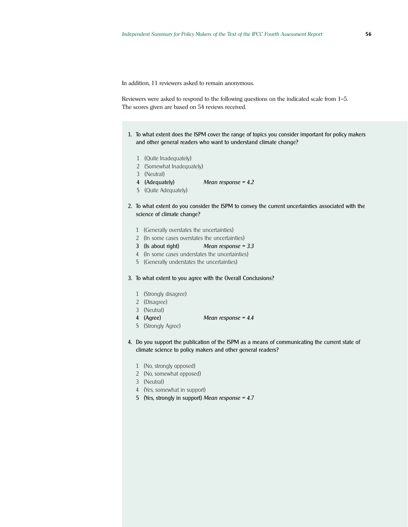In addition, 11 reviewers asked to remain anonymous.

Reviewers were asked to respond to the following questions on the indicated scale from 1-5. The scores given are based on 54 reviews received.

- 1. To what extent does the ISPM cover the range of topics you consider important for policy makers and other general readers who want to understand climate change?
	- 1 (Quite Inadequately)
	- 2 (Somewhat Inadequately)
	- 3 (Neutral)
	- 4 (Adequately) *Mean response = 4.2*
	- 5 (Quite Adequately)
- 2. To what extent do you consider the ISPM to convey the current uncertainties associated with the science of climate change?
	- 1 (Generally overstates the uncertainties)
	- 2 (In some cases overstates the uncertainties)
	- 3 (Is about right) *Mean response = 3.3*
	- 4 (In some cases understates the uncertainties)
	- 5 (Generally understates the uncertainties)
- 3. To what extent to you agree with the Overall Conclusions?
	- 1 (Strongly disagree)
	- 2 (Disagree)
	- 3 (Neutral)
	- 4 (Agree) *Mean response = 4.4*
	- 5 (Strongly Agree)
- 4. Do you support the publication of the ISPM as a means of communicating the current state of climate science to policy makers and other general readers?
	- 1 (No, strongly opposed)
	- 2 (No, somewhat opposed)
	- 3 (Neutral)
	- 4 (Yes, somewhat in support)
	- 5 (Yes, strongly in support) *Mean response = 4.7*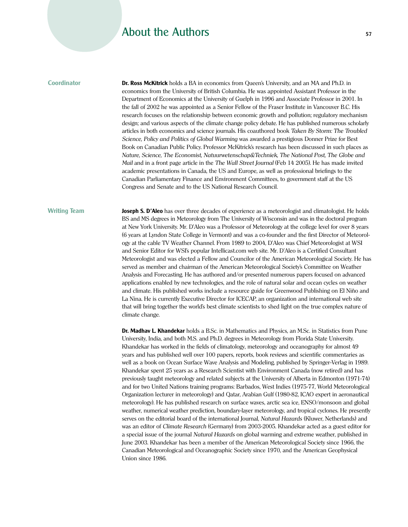### About the Authors **57**

**Coordinator Dr. Ross McKitrick** holds a BA in economics from Queen's University, and an MA and Ph.D. in economics from the University of British Columbia. He was appointed Assistant Professor in the Department of Economics at the University of Guelph in 1996 and Associate Professor in 2001. In the fall of 2002 he was appointed as a Senior Fellow of the Fraser Institute in Vancouver B.C. His research focuses on the relationship between economic growth and pollution; regulatory mechanism design; and various aspects of the climate change policy debate. He has published numerous scholarly articles in both economics and science journals. His coauthored book *Taken By Storm: The Troubled Science, Policy and Politics of Global Warming* was awarded a prestigious Donner Prize for Best Book on Canadian Public Policy. Professor McKitrickís research has been discussed in such places as *Nature, Science, The Economist, Natuurwetenschap&Techniek, The National Post, The Globe and Mail* and in a front page article in the *The Wall Street Journal* (Feb 14 2005). He has made invited academic presentations in Canada, the US and Europe, as well as professional briefings to the Canadian Parliamentary Finance and Environment Committees, to government staff at the US Congress and Senate and to the US National Research Council.

**Writing Team Joseph S. DíAleo** has over three decades of experience as a meteorologist and climatologist. He holds BS and MS degrees in Meteorology from The University of Wisconsin and was in the doctoral program at New York University. Mr. DíAleo was a Professor of Meteorology at the college level for over 8 years (6 years at Lyndon State College in Vermont) and was a co-founder and the first Director of Meteorology at the cable TV Weather Channel. From 1989 to 2004, D'Aleo was Chief Meteorologist at WSI and Senior Editor for WSIís popular Intellicast.com web site. Mr. DíAleo is a Certified Consultant Meteorologist and was elected a Fellow and Councilor of the American Meteorological Society. He has served as member and chairman of the American Meteorological Societyís Committee on Weather Analysis and Forecasting. He has authored and/or presented numerous papers focused on advanced applications enabled by new technologies, and the role of natural solar and ocean cycles on weather and climate. His published works include a resource guide for Greenwood Publishing on El Niño and La Nina. He is currently Executive Director for ICECAP, an organization and international web site that will bring together the worldís best climate scientists to shed light on the true complex nature of climate change.

> **Dr. Madhav L. Khandekar** holds a B.Sc. in Mathematics and Physics, an M.Sc. in Statistics from Pune University, India, and both M.S. and Ph.D. degrees in Meteorology from Florida State University. Khandekar has worked in the fields of climatology, meteorology and oceanography for almost 49 years and has published well over 100 papers, reports, book reviews and scientific commentaries as well as a book on Ocean Surface Wave Analysis and Modeling, published by Springer-Verlag in 1989. Khandekar spent 25 years as a Research Scientist with Environment Canada (now retired) and has previously taught meteorology and related subjects at the University of Alberta in Edmonton (1971-74) and for two United Nations training programs: Barbados, West Indies (1975-77, World Meteorological Organization lecturer in meteorology) and Qatar, Arabian Gulf (1980-82, ICAO expert in aeronautical meteorology). He has published research on surface waves, arctic sea ice, ENSO/monsoon and global weather, numerical weather prediction, boundary-layer meteorology, and tropical cyclones. He presently serves on the editorial board of the international Journal, *Natural Hazards* (Kluwer, Netherlands) and was an editor of *Climate Research* (Germany) from 2003-2005. Khandekar acted as a guest editor for a special issue of the journal *Natural Hazards* on global warming and extreme weather, published in June 2003. Khandekar has been a member of the American Meteorological Society since 1966, the Canadian Meteorological and Oceanographic Society since 1970, and the American Geophysical Union since 1986.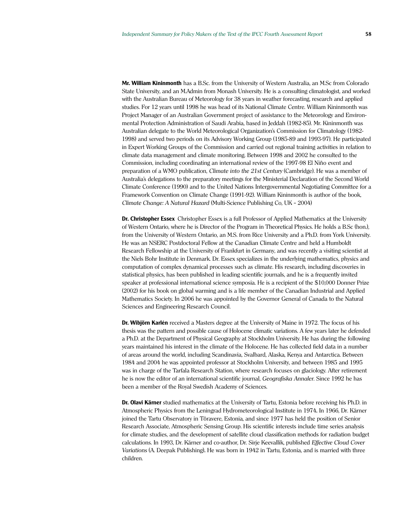**Mr. William Kininmonth** has a B.Sc. from the University of Western Australia, an M.Sc from Colorado State University, and an M.Admin from Monash University. He is a consulting climatologist, and worked with the Australian Bureau of Meteorology for 38 years in weather forecasting, research and applied studies. For 12 years until 1998 he was head of its National Climate Centre. William Kininmonth was Project Manager of an Australian Government project of assistance to the Meteorology and Environmental Protection Administration of Saudi Arabia, based in Jeddah (1982-85). Mr. Kininmonth was Australian delegate to the World Meteorological Organizationís Commission for Climatology (1982- 1998) and served two periods on its Advisory Working Group (1985-89 and 1993-97). He participated in Expert Working Groups of the Commission and carried out regional training activities in relation to climate data management and climate monitoring. Between 1998 and 2002 he consulted to the Commission, including coordinating an international review of the 1997-98 El Niño event and preparation of a WMO publication, *Climate into the 21st Century* (Cambridge). He was a member of Australiaís delegations to the preparatory meetings for the Ministerial Declaration of the Second World Climate Conference (1990) and to the United Nations Intergovernmental Negotiating Committee for a Framework Convention on Climate Change (1991-92). William Kininmonth is author of the book, *Climate Change: A Natural Hazard* (Multi-Science Publishing Co, UK - 2004)

**Dr. Christopher Essex** Christopher Essex is a full Professor of Applied Mathematics at the University of Western Ontario, where he is Director of the Program in Theoretical Physics. He holds a B.Sc (hon.), from the University of Western Ontario, an M.S. from Rice University and a Ph.D. from York University. He was an NSERC Postdoctoral Fellow at the Canadian Climate Centre and held a Humboldt Research Fellowship at the University of Frankfurt in Germany, and was recently a visiting scientist at the Niels Bohr Institute in Denmark. Dr. Essex specializes in the underlying mathematics, physics and computation of complex dynamical processes such as climate. His research, including discoveries in statistical physics, has been published in leading scientific journals, and he is a frequently invited speaker at professional international science symposia. He is a recipient of the \$10,000 Donner Prize (2002) for his book on global warming and is a life member of the Canadian Industrial and Applied Mathematics Society. In 2006 he was appointed by the Governor General of Canada to the Natural Sciences and Engineering Research Council.

**Dr. Wibjörn Karlén** received a Masters degree at the University of Maine in 1972. The focus of his thesis was the pattern and possible cause of Holocene climatic variations. A few years later he defended a Ph.D. at the Department of Physical Geography at Stockholm University. He has during the following years maintained his interest in the climate of the Holocene. He has collected field data in a number of areas around the world, including Scandinavia, Svalbard, Alaska, Kenya and Antarctica. Between 1984 and 2004 he was appointed professor at Stockholm University, and between 1985 and 1995 was in charge of the Tarfala Research Station, where research focuses on glaciology. After retirement he is now the editor of an international scientific journal, *Geografiska Annaler*. Since 1992 he has been a member of the Royal Swedish Academy of Sciences.

**Dr. Olavi Kärner** studied mathematics at the University of Tartu, Estonia before receiving his Ph.D. in Atmospheric Physics from the Leningrad Hydrometeorological Institute in 1974. In 1966, Dr. Kärner joined the Tartu Observatory in Tõravere, Estonia, and since 1977 has held the position of Senior Research Associate, Atmospheric Sensing Group. His scientific interests include time series analysis for climate studies, and the development of satellite cloud classification methods for radiation budget calculations. In 1993, Dr. Kärner and co-author, Dr. Sirje Keevallik, published *Effective Cloud Cover Variations* (A. Deepak Publishing)**.** He was born in 1942 in Tartu, Estonia, and is married with three children.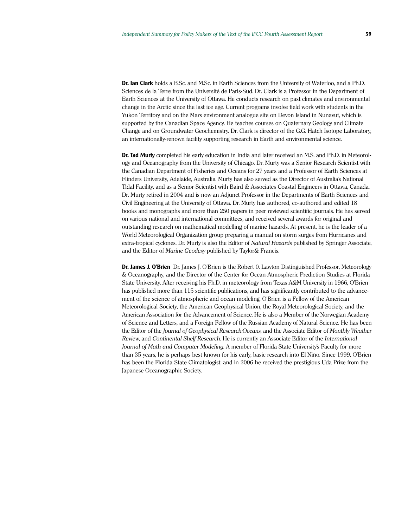**Dr. Ian Clark** holds a B.Sc. and M.Sc. in Earth Sciences from the University of Waterloo, and a Ph.D. Sciences de la Terre from the Université de Paris-Sud. Dr. Clark is a Professor in the Department of Earth Sciences at the University of Ottawa. He conducts research on past climates and environmental change in the Arctic since the last ice age. Current programs involve field work with students in the Yukon Territory and on the Mars environment analogue site on Devon Island in Nunavut, which is supported by the Canadian Space Agency. He teaches courses on Quaternary Geology and Climate Change and on Groundwater Geochemistry. Dr. Clark is director of the G.G. Hatch Isotope Laboratory, an internationally-renown facility supporting research in Earth and environmental science.

**Dr. Tad Murty** completed his early education in India and later received an M.S. and Ph.D. in Meteorology and Oceanography from the University of Chicago. Dr. Murty was a Senior Research Scientist with the Canadian Department of Fisheries and Oceans for 27 years and a Professor of Earth Sciences at Flinders University, Adelaide, Australia. Murty has also served as the Director of Australiaís National Tidal Facility, and as a Senior Scientist with Baird & Associates Coastal Engineers in Ottawa, Canada. Dr. Murty retired in 2004 and is now an Adjunct Professor in the Departments of Earth Sciences and Civil Engineering at the University of Ottawa. Dr. Murty has authored, co-authored and edited 18 books and monographs and more than 250 papers in peer reviewed scientific journals. He has served on various national and international committees, and received several awards for original and outstanding research on mathematical modelling of marine hazards. At present, he is the leader of a World Meteorological Organization group preparing a manual on storm surges from Hurricanes and extra-tropical cyclones. Dr. Murty is also the Editor of *Natural Hazards* published by Springer Associate, and the Editor of *Marine Geodesy* published by Taylor& Francis.

**Dr. James J. O'Brien** Dr. James J. O'Brien is the Robert 0. Lawton Distinguished Professor, Meteorology & Oceanography, and the Director of the Center for Ocean-Atmospheric Prediction Studies at Florida State University. After receiving his Ph.D. in meteorology from Texas A&M University in 1966, O'Brien has published more than 115 scientific publications, and has significantly contributed to the advancement of the science of atmospheric and ocean modeling. O'Brien is a Fellow of the American Meteorological Society, the American Geophysical Union, the Royal Meteorological Society, and the American Association for the Advancement of Science. He is also a Member of the Norwegian Academy of Science and Letters, and a Foreign Fellow of the Russian Academy of Natural Science. He has been the Editor of the *Journal of Geophysical Research:Oceans*, and the Associate Editor of *Monthly Weather Review*, and *Continental Shelf Research.* He is currently an Associate Editor of the *International Journal of Math and Computer Modeling*. A member of Florida State Universityís Faculty for more than 35 years, he is perhaps best known for his early, basic research into El Niño. Since 1999, O'Brien has been the Florida State Climatologist, and in 2006 he received the prestigious Uda Prize from the Japanese Oceanographic Society.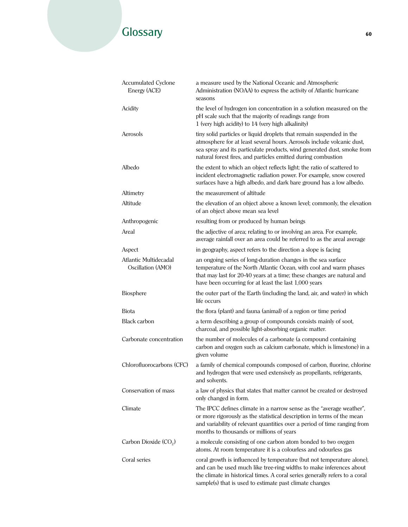# Glossary 60

| <b>Accumulated Cyclone</b><br>Energy (ACE) | a measure used by the National Oceanic and Atmospheric<br>Administration (NOAA) to express the activity of Atlantic hurricane<br>seasons                                                                                                                                                   |
|--------------------------------------------|--------------------------------------------------------------------------------------------------------------------------------------------------------------------------------------------------------------------------------------------------------------------------------------------|
| Acidity                                    | the level of hydrogen ion concentration in a solution measured on the<br>pH scale such that the majority of readings range from<br>1 (very high acidity) to 14 (very high alkalinity)                                                                                                      |
| Aerosols                                   | tiny solid particles or liquid droplets that remain suspended in the<br>atmosphere for at least several hours. Aerosols include volcanic dust,<br>sea spray and its particulate products, wind generated dust, smoke from<br>natural forest fires, and particles emitted during combustion |
| Albedo                                     | the extent to which an object reflects light; the ratio of scattered to<br>incident electromagnetic radiation power. For example, snow covered<br>surfaces have a high albedo, and dark bare ground has a low albedo.                                                                      |
| Altimetry                                  | the measurement of altitude                                                                                                                                                                                                                                                                |
| Altitude                                   | the elevation of an object above a known level; commonly, the elevation<br>of an object above mean sea level                                                                                                                                                                               |
| Anthropogenic                              | resulting from or produced by human beings                                                                                                                                                                                                                                                 |
| Areal                                      | the adjective of area; relating to or involving an area. For example,<br>average rainfall over an area could be referred to as the areal average                                                                                                                                           |
| Aspect                                     | in geography, aspect refers to the direction a slope is facing                                                                                                                                                                                                                             |
| Atlantic Multidecadal<br>Oscillation (AMO) | an ongoing series of long-duration changes in the sea surface<br>temperature of the North Atlantic Ocean, with cool and warm phases<br>that may last for 20-40 years at a time; these changes are natural and<br>have been occurring for at least the last 1,000 years                     |
| <b>Biosphere</b>                           | the outer part of the Earth (including the land, air, and water) in which<br>life occurs                                                                                                                                                                                                   |
| Biota                                      | the flora (plant) and fauna (animal) of a region or time period                                                                                                                                                                                                                            |
| Black carbon                               | a term describing a group of compounds consists mainly of soot,<br>charcoal, and possible light-absorbing organic matter.                                                                                                                                                                  |
| Carbonate concentration                    | the number of molecules of a carbonate (a compound containing<br>carbon and oxygen such as calcium carbonate, which is limestone) in a<br>given volume                                                                                                                                     |
| Chlorofluorocarbons (CFC)                  | a family of chemical compounds composed of carbon, fluorine, chlorine<br>and hydrogen that were used extensively as propellants, refrigerants,<br>and solvents.                                                                                                                            |
| Conservation of mass                       | a law of physics that states that matter cannot be created or destroyed<br>only changed in form.                                                                                                                                                                                           |
| Climate                                    | The IPCC defines climate in a narrow sense as the "average weather",<br>or more rigorously as the statistical description in terms of the mean<br>and variability of relevant quantities over a period of time ranging from<br>months to thousands or millions of years                    |
| Carbon Dioxide $(CO2)$                     | a molecule consisting of one carbon atom bonded to two oxygen<br>atoms. At room temperature it is a colourless and odourless gas                                                                                                                                                           |
| Coral series                               | coral growth is influenced by temperature (but not temperature alone),<br>and can be used much like tree-ring widths to make inferences about<br>the climate in historical times. A coral series generally refers to a coral<br>sample(s) that is used to estimate past climate changes    |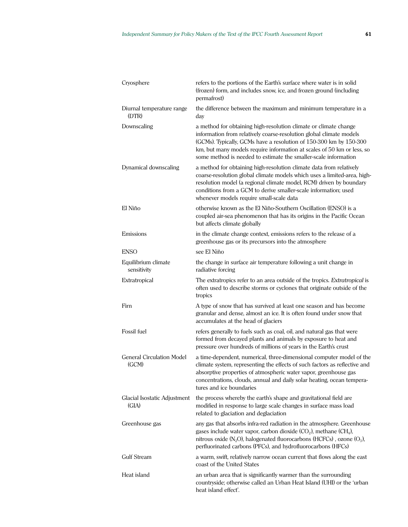| Cryosphere                                | refers to the portions of the Earth's surface where water is in solid<br>(frozen) form, and includes snow, ice, and frozen ground (including<br>permafrost)                                                                                                                                                                                                |  |  |  |
|-------------------------------------------|------------------------------------------------------------------------------------------------------------------------------------------------------------------------------------------------------------------------------------------------------------------------------------------------------------------------------------------------------------|--|--|--|
| Diurnal temperature range<br>(DTR)        | the difference between the maximum and minimum temperature in a<br>day                                                                                                                                                                                                                                                                                     |  |  |  |
| Downscaling                               | a method for obtaining high-resolution climate or climate change<br>information from relatively coarse-resolution global climate models<br>(GCMs). Typically, GCMs have a resolution of 150-300 km by 150-300<br>km, but many models require information at scales of 50 km or less, so<br>some method is needed to estimate the smaller-scale information |  |  |  |
| Dynamical downscaling                     | a method for obtaining high-resolution climate data from relatively<br>coarse-resolution global climate models which uses a limited-area, high-<br>resolution model (a regional climate model, RCM) driven by boundary<br>conditions from a GCM to derive smaller-scale information; used<br>whenever models require small-scale data                      |  |  |  |
| El Niño                                   | otherwise known as the El Niño-Southern Oscillation (ENSO) is a<br>coupled air-sea phenomenon that has its origins in the Pacific Ocean<br>but affects climate globally                                                                                                                                                                                    |  |  |  |
| Emissions                                 | in the climate change context, emissions refers to the release of a<br>greenhouse gas or its precursors into the atmosphere                                                                                                                                                                                                                                |  |  |  |
| <b>ENSO</b>                               | see El Niño                                                                                                                                                                                                                                                                                                                                                |  |  |  |
| Equilibrium climate<br>sensitivity        | the change in surface air temperature following a unit change in<br>radiative forcing                                                                                                                                                                                                                                                                      |  |  |  |
| Extratropical                             | The extratropics refer to an area outside of the tropics. Extratropical is<br>often used to describe storms or cyclones that originate outside of the<br>tropics                                                                                                                                                                                           |  |  |  |
| Firn                                      | A type of snow that has survived at least one season and has become<br>granular and dense, almost an ice. It is often found under snow that<br>accumulates at the head of glaciers                                                                                                                                                                         |  |  |  |
| Fossil fuel                               | refers generally to fuels such as coal, oil, and natural gas that were<br>formed from decayed plants and animals by exposure to heat and<br>pressure over hundreds of millions of years in the Earth's crust                                                                                                                                               |  |  |  |
| <b>General Circulation Model</b><br>(GCM) | a time-dependent, numerical, three-dimensional computer model of the<br>climate system, representing the effects of such factors as reflective and<br>absorptive properties of atmospheric water vapor, greenhouse gas<br>concentrations, clouds, annual and daily solar heating, ocean tempera-<br>tures and ice boundaries                               |  |  |  |
| Glacial Isostatic Adjustment<br>(GIA)     | the process whereby the earth's shape and gravitational field are<br>modified in response to large scale changes in surface mass load<br>related to glaciation and deglaciation                                                                                                                                                                            |  |  |  |
| Greenhouse gas                            | any gas that absorbs infra-red radiation in the atmosphere. Greenhouse<br>gases include water vapor, carbon dioxide $(CO_2)$ , methane $(CH_4)$ ,<br>nitrous oxide $(N_2O)$ , halogenated fluorocarbons (HCFCs), ozone $(O_3)$ ,<br>perfluorinated carbons (PFCs), and hydrofluorocarbons (HFCs)                                                           |  |  |  |
| <b>Gulf Stream</b>                        | a warm, swift, relatively narrow ocean current that flows along the east<br>coast of the United States                                                                                                                                                                                                                                                     |  |  |  |
| Heat island                               | an urban area that is significantly warmer than the surrounding<br>countryside; otherwise called an Urban Heat Island (UHI) or the 'urban<br>heat island effect'.                                                                                                                                                                                          |  |  |  |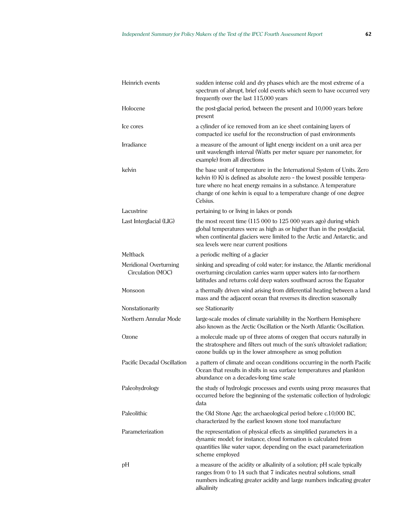| Heinrich events                             | sudden intense cold and dry phases which are the most extreme of a<br>spectrum of abrupt, brief cold events which seem to have occurred very<br>frequently over the last 115,000 years                                                                                                                       |
|---------------------------------------------|--------------------------------------------------------------------------------------------------------------------------------------------------------------------------------------------------------------------------------------------------------------------------------------------------------------|
| Holocene                                    | the post-glacial period, between the present and 10,000 years before<br>present                                                                                                                                                                                                                              |
| Ice cores                                   | a cylinder of ice removed from an ice sheet containing layers of<br>compacted ice useful for the reconstruction of past environments                                                                                                                                                                         |
| Irradiance                                  | a measure of the amount of light energy incident on a unit area per<br>unit wavelength interval (Watts per meter square per nanometer, for<br>example) from all directions                                                                                                                                   |
| kelvin                                      | the base unit of temperature in the International System of Units. Zero<br>kelvin $(0 K)$ is defined as absolute zero $-$ the lowest possible tempera-<br>ture where no heat energy remains in a substance. A temperature<br>change of one kelvin is equal to a temperature change of one degree<br>Celsius. |
| Lacustrine                                  | pertaining to or living in lakes or ponds                                                                                                                                                                                                                                                                    |
| Last Interglacial (LIG)                     | the most recent time $(115\ 000\ to\ 125\ 000\ years\ ago)$ during which<br>global temperatures were as high as or higher than in the postglacial,<br>when continental glaciers were limited to the Arctic and Antarctic, and<br>sea levels were near current positions                                      |
| Meltback                                    | a periodic melting of a glacier                                                                                                                                                                                                                                                                              |
| Meridional Overturning<br>Circulation (MOC) | sinking and spreading of cold water; for instance, the Atlantic meridional<br>overturning circulation carries warm upper waters into far-northern<br>latitudes and returns cold deep waters southward across the Equator                                                                                     |
| Monsoon                                     | a thermally driven wind arising from differential heating between a land<br>mass and the adjacent ocean that reverses its direction seasonally                                                                                                                                                               |
| Nonstationarity                             | see Stationarity                                                                                                                                                                                                                                                                                             |
| Northern Annular Mode                       | large-scale modes of climate variability in the Northern Hemisphere<br>also known as the Arctic Oscillation or the North Atlantic Oscillation.                                                                                                                                                               |
| Ozone                                       | a molecule made up of three atoms of oxygen that occurs naturally in<br>the stratosphere and filters out much of the sun's ultraviolet radiation;<br>ozone builds up in the lower atmosphere as smog pollution                                                                                               |
| Pacific Decadal Oscillation                 | a pattern of climate and ocean conditions occurring in the north Pacific<br>Ocean that results in shifts in sea surface temperatures and plankton<br>abundance on a decades-long time scale                                                                                                                  |
| Paleohydrology                              | the study of hydrologic processes and events using proxy measures that<br>occurred before the beginning of the systematic collection of hydrologic<br>data                                                                                                                                                   |
| Paleolithic                                 | the Old Stone Age; the archaeological period before c.10,000 BC,<br>characterized by the earliest known stone tool manufacture                                                                                                                                                                               |
| Parameterization                            | the representation of physical effects as simplified parameters in a<br>dynamic model; for instance, cloud formation is calculated from<br>quantities like water vapor, depending on the exact parameterization<br>scheme employed                                                                           |
| pH                                          | a measure of the acidity or alkalinity of a solution; pH scale typically<br>ranges from 0 to 14 such that 7 indicates neutral solutions, small<br>numbers indicating greater acidity and large numbers indicating greater<br>alkalinity                                                                      |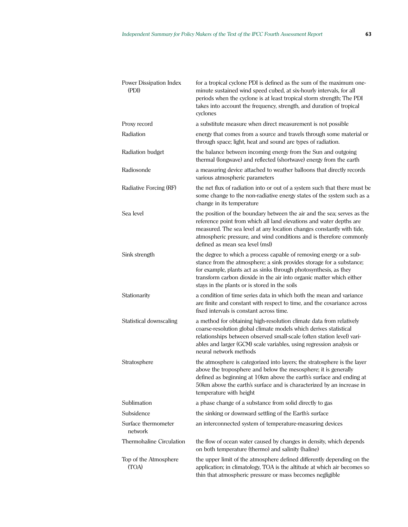| Power Dissipation Index<br>(PDI) | for a tropical cyclone PDI is defined as the sum of the maximum one-<br>minute sustained wind speed cubed, at six-hourly intervals, for all<br>periods when the cyclone is at least tropical storm strength; The PDI<br>takes into account the frequency, strength, and duration of tropical<br>cyclones                                |
|----------------------------------|-----------------------------------------------------------------------------------------------------------------------------------------------------------------------------------------------------------------------------------------------------------------------------------------------------------------------------------------|
| Proxy record                     | a substitute measure when direct measurement is not possible                                                                                                                                                                                                                                                                            |
| Radiation                        | energy that comes from a source and travels through some material or<br>through space; light, heat and sound are types of radiation.                                                                                                                                                                                                    |
| Radiation budget                 | the balance between incoming energy from the Sun and outgoing<br>thermal (longwave) and reflected (shortwave) energy from the earth                                                                                                                                                                                                     |
| Radiosonde                       | a measuring device attached to weather balloons that directly records<br>various atmospheric parameters                                                                                                                                                                                                                                 |
| Radiative Forcing (RF)           | the net flux of radiation into or out of a system such that there must be<br>some change to the non-radiative energy states of the system such as a<br>change in its temperature                                                                                                                                                        |
| Sea level                        | the position of the boundary between the air and the sea; serves as the<br>reference point from which all land elevations and water depths are<br>measured. The sea level at any location changes constantly with tide,<br>atmospheric pressure, and wind conditions and is therefore commonly<br>defined as mean sea level (msl)       |
| Sink strength                    | the degree to which a process capable of removing energy or a sub-<br>stance from the atmosphere; a sink provides storage for a substance;<br>for example, plants act as sinks through photosynthesis, as they<br>transform carbon dioxide in the air into organic matter which either<br>stays in the plants or is stored in the soils |
| Stationarity                     | a condition of time series data in which both the mean and variance<br>are finite and constant with respect to time, and the covariance across<br>fixed intervals is constant across time.                                                                                                                                              |
| Statistical downscaling          | a method for obtaining high-resolution climate data from relatively<br>coarse-resolution global climate models which derives statistical<br>relationships between observed small-scale (often station level) vari-<br>ables and larger (GCM) scale variables, using regression analysis or<br>neural network methods                    |
| Stratosphere                     | the atmosphere is categorized into layers; the stratosphere is the layer<br>above the troposphere and below the mesosphere; it is generally<br>defined as beginning at 10km above the earth's surface and ending at<br>50km above the earth's surface and is characterized by an increase in<br>temperature with height                 |
| Sublimation                      | a phase change of a substance from solid directly to gas                                                                                                                                                                                                                                                                                |
| Subsidence                       | the sinking or downward settling of the Earth's surface                                                                                                                                                                                                                                                                                 |
| Surface thermometer<br>network   | an interconnected system of temperature-measuring devices                                                                                                                                                                                                                                                                               |
| Thermohaline Circulation         | the flow of ocean water caused by changes in density, which depends<br>on both temperature (thermo) and salinity (haline)                                                                                                                                                                                                               |
| Top of the Atmosphere<br>(TOA)   | the upper limit of the atmosphere defined differently depending on the<br>application; in climatology, TOA is the altitude at which air becomes so<br>thin that atmospheric pressure or mass becomes negligible                                                                                                                         |